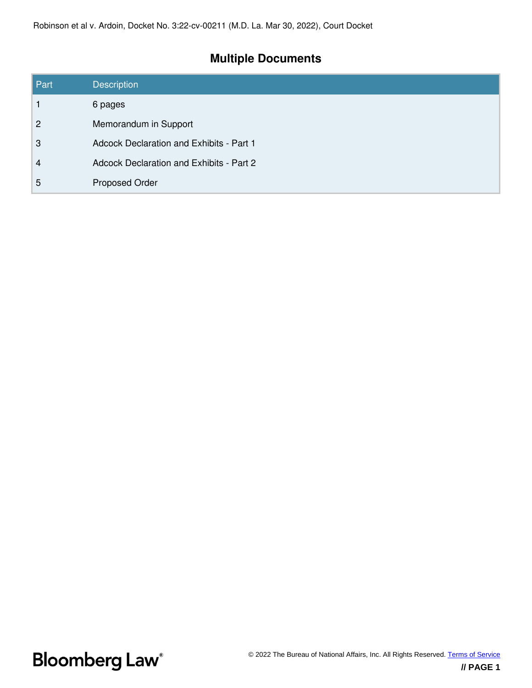# **Multiple Documents**

| Part           | <b>Description</b>                       |
|----------------|------------------------------------------|
|                | 6 pages                                  |
| 2              | Memorandum in Support                    |
| 3              | Adcock Declaration and Exhibits - Part 1 |
| $\overline{4}$ | Adcock Declaration and Exhibits - Part 2 |
| 5              | <b>Proposed Order</b>                    |

**Bloomberg Law**<sup>®</sup>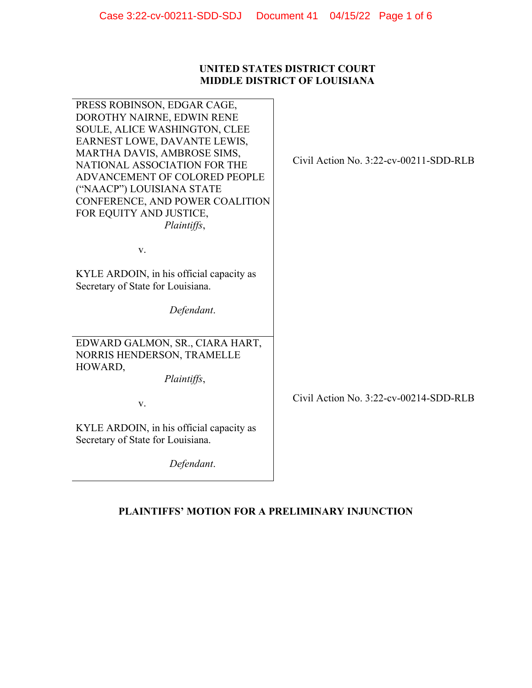## **UNITED STATES DISTRICT COURT MIDDLE DISTRICT OF LOUISIANA**

| PRESS ROBINSON, EDGAR CAGE,<br>DOROTHY NAIRNE, EDWIN RENE<br>SOULE, ALICE WASHINGTON, CLEE<br>EARNEST LOWE, DAVANTE LEWIS,<br>MARTHA DAVIS, AMBROSE SIMS,<br>NATIONAL ASSOCIATION FOR THE<br>ADVANCEMENT OF COLORED PEOPLE<br>("NAACP") LOUISIANA STATE<br>CONFERENCE, AND POWER COALITION<br>FOR EQUITY AND JUSTICE,<br>Plaintiffs, | Civil Action No. 3:22-cv-00211-SDD-RLB |
|--------------------------------------------------------------------------------------------------------------------------------------------------------------------------------------------------------------------------------------------------------------------------------------------------------------------------------------|----------------------------------------|
| V.                                                                                                                                                                                                                                                                                                                                   |                                        |
| KYLE ARDOIN, in his official capacity as<br>Secretary of State for Louisiana.                                                                                                                                                                                                                                                        |                                        |
| Defendant.                                                                                                                                                                                                                                                                                                                           |                                        |
| EDWARD GALMON, SR., CIARA HART,<br>NORRIS HENDERSON, TRAMELLE<br>HOWARD,<br>Plaintiffs,                                                                                                                                                                                                                                              |                                        |
| V.                                                                                                                                                                                                                                                                                                                                   | Civil Action No. 3:22-cv-00214-SDD-RLB |
| KYLE ARDOIN, in his official capacity as<br>Secretary of State for Louisiana.                                                                                                                                                                                                                                                        |                                        |
| Defendant.                                                                                                                                                                                                                                                                                                                           |                                        |

## **PLAINTIFFS' MOTION FOR A PRELIMINARY INJUNCTION**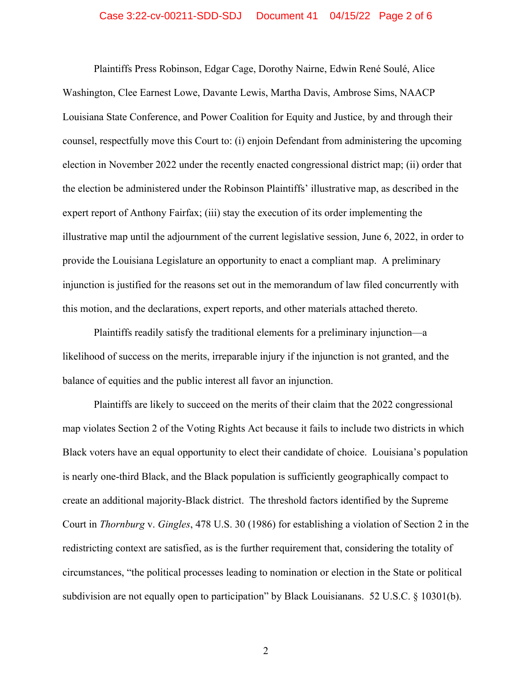#### Case 3:22-cv-00211-SDD-SDJ Document 41 04/15/22 Page 2 of 6

Plaintiffs Press Robinson, Edgar Cage, Dorothy Nairne, Edwin René Soulé, Alice Washington, Clee Earnest Lowe, Davante Lewis, Martha Davis, Ambrose Sims, NAACP Louisiana State Conference, and Power Coalition for Equity and Justice, by and through their counsel, respectfully move this Court to: (i) enjoin Defendant from administering the upcoming election in November 2022 under the recently enacted congressional district map; (ii) order that the election be administered under the Robinson Plaintiffs' illustrative map, as described in the expert report of Anthony Fairfax; (iii) stay the execution of its order implementing the illustrative map until the adjournment of the current legislative session, June 6, 2022, in order to provide the Louisiana Legislature an opportunity to enact a compliant map. A preliminary injunction is justified for the reasons set out in the memorandum of law filed concurrently with this motion, and the declarations, expert reports, and other materials attached thereto.

Plaintiffs readily satisfy the traditional elements for a preliminary injunction—a likelihood of success on the merits, irreparable injury if the injunction is not granted, and the balance of equities and the public interest all favor an injunction.

Plaintiffs are likely to succeed on the merits of their claim that the 2022 congressional map violates Section 2 of the Voting Rights Act because it fails to include two districts in which Black voters have an equal opportunity to elect their candidate of choice. Louisiana's population is nearly one-third Black, and the Black population is sufficiently geographically compact to create an additional majority-Black district. The threshold factors identified by the Supreme Court in *Thornburg* v. *Gingles*, 478 U.S. 30 (1986) for establishing a violation of Section 2 in the redistricting context are satisfied, as is the further requirement that, considering the totality of circumstances, "the political processes leading to nomination or election in the State or political subdivision are not equally open to participation" by Black Louisianans. 52 U.S.C. § 10301(b).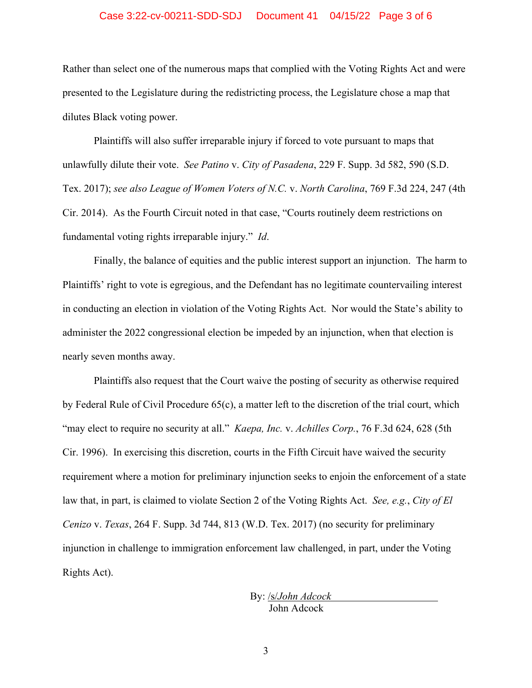#### Case 3:22-cv-00211-SDD-SDJ Document 41 04/15/22 Page 3 of 6

Rather than select one of the numerous maps that complied with the Voting Rights Act and were presented to the Legislature during the redistricting process, the Legislature chose a map that dilutes Black voting power.

Plaintiffs will also suffer irreparable injury if forced to vote pursuant to maps that unlawfully dilute their vote. *See Patino* v. *City of Pasadena*, 229 F. Supp. 3d 582, 590 (S.D. Tex. 2017); *see also League of Women Voters of N.C.* v. *North Carolina*, 769 F.3d 224, 247 (4th Cir. 2014). As the Fourth Circuit noted in that case, "Courts routinely deem restrictions on fundamental voting rights irreparable injury." *Id*.

Finally, the balance of equities and the public interest support an injunction. The harm to Plaintiffs' right to vote is egregious, and the Defendant has no legitimate countervailing interest in conducting an election in violation of the Voting Rights Act. Nor would the State's ability to administer the 2022 congressional election be impeded by an injunction, when that election is nearly seven months away.

Plaintiffs also request that the Court waive the posting of security as otherwise required by Federal Rule of Civil Procedure 65(c), a matter left to the discretion of the trial court, which "may elect to require no security at all." *Kaepa, Inc.* v. *Achilles Corp.*, 76 F.3d 624, 628 (5th Cir. 1996). In exercising this discretion, courts in the Fifth Circuit have waived the security requirement where a motion for preliminary injunction seeks to enjoin the enforcement of a state law that, in part, is claimed to violate Section 2 of the Voting Rights Act. *See, e.g.*, *City of El Cenizo* v. *Texas*, 264 F. Supp. 3d 744, 813 (W.D. Tex. 2017) (no security for preliminary injunction in challenge to immigration enforcement law challenged, in part, under the Voting Rights Act).

> By: /s/*John Adcock* John Adcock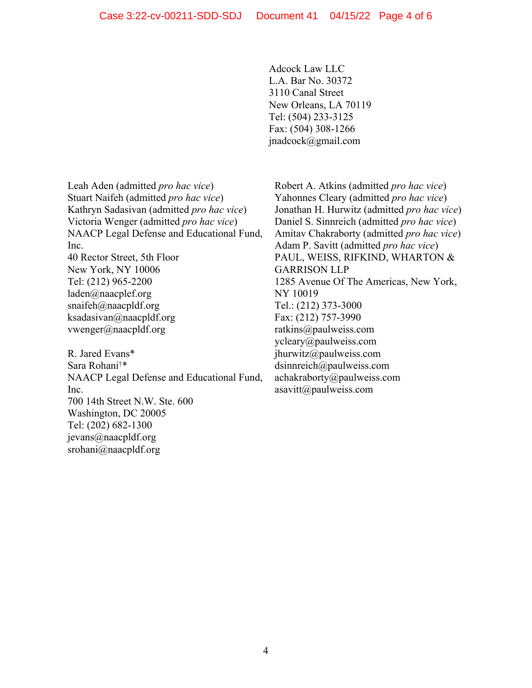Adcock Law LLC L.A. Bar No. 30372 3110 Canal Street New Orleans, LA 70119 Tel: (504) 233-3125 Fax: (504) 308-1266 jnadcock@gmail.com

Leah Aden (admitted *pro hac vice*) Stuart Naifeh (admitted *pro hac vice*) Kathryn Sadasivan (admitted *pro hac vice*) Victoria Wenger (admitted *pro hac vice*) NAACP Legal Defense and Educational Fund, Inc.

40 Rector Street, 5th Floor New York, NY 10006 Tel: (212) 965-2200 laden@naacplef.org snaifeh@naacpldf.org ksadasivan@naacpldf.org vwenger@naacpldf.org

R. Jared Evans\* Sara Rohani†\* NAACP Legal Defense and Educational Fund, Inc. 700 14th Street N.W. Ste. 600 Washington, DC 20005 Tel: (202) 682-1300 jevans@naacpldf.org srohani@naacpldf.org

Robert A. Atkins (admitted *pro hac vice*) Yahonnes Cleary (admitted *pro hac vice*) Jonathan H. Hurwitz (admitted *pro hac vice*) Daniel S. Sinnreich (admitted *pro hac vice*) Amitav Chakraborty (admitted *pro hac vice*) Adam P. Savitt (admitted *pro hac vice*) PAUL, WEISS, RIFKIND, WHARTON & GARRISON LLP 1285 Avenue Of The Americas, New York, NY 10019 Tel.: (212) 373-3000 Fax: (212) 757-3990 ratkins@paulweiss.com ycleary@paulweiss.com jhurwitz@paulweiss.com dsinnreich@paulweiss.com achakraborty@paulweiss.com asavitt@paulweiss.com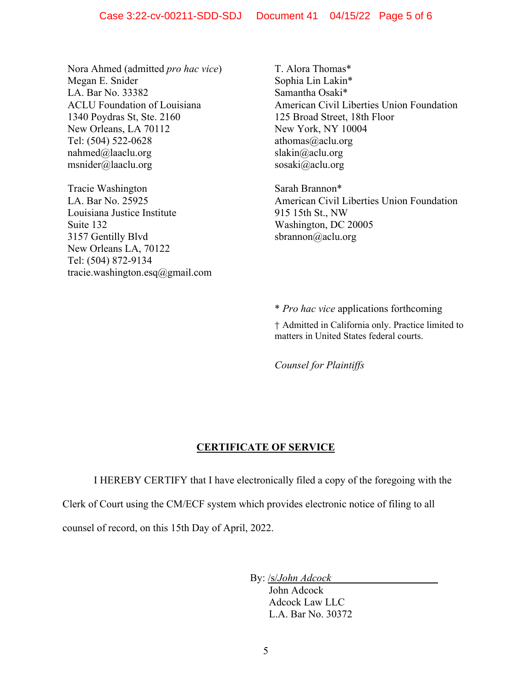Nora Ahmed (admitted *pro hac vice*) Megan E. Snider LA. Bar No. 33382 ACLU Foundation of Louisiana 1340 Poydras St, Ste. 2160 New Orleans, LA 70112 Tel: (504) 522-0628 nahmed@laaclu.org msnider@laaclu.org

Tracie Washington LA. Bar No. 25925 Louisiana Justice Institute Suite 132 3157 Gentilly Blvd New Orleans LA, 70122 Tel: (504) 872-9134 tracie.washington.esq@gmail.com T. Alora Thomas\* Sophia Lin Lakin\* Samantha Osaki\* American Civil Liberties Union Foundation 125 Broad Street, 18th Floor New York, NY 10004 athomas@aclu.org slakin@aclu.org sosaki@aclu.org

Sarah Brannon\* American Civil Liberties Union Foundation 915 15th St., NW Washington, DC 20005 sbrannon@aclu.org

\* *Pro hac vice* applications forthcoming

† Admitted in California only. Practice limited to matters in United States federal courts.

*Counsel for Plaintiffs* 

## **CERTIFICATE OF SERVICE**

I HEREBY CERTIFY that I have electronically filed a copy of the foregoing with the

Clerk of Court using the CM/ECF system which provides electronic notice of filing to all

counsel of record, on this 15th Day of April, 2022.

By: /s/*John Adcock*

John Adcock Adcock Law LLC L.A. Bar No. 30372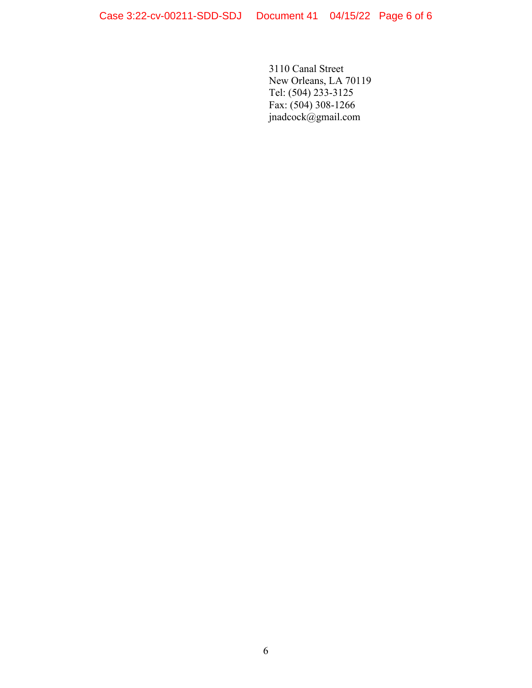3110 Canal Street New Orleans, LA 70119 Tel: (504) 233-3125 Fax: (504) 308-1266 jnadcock@gmail.com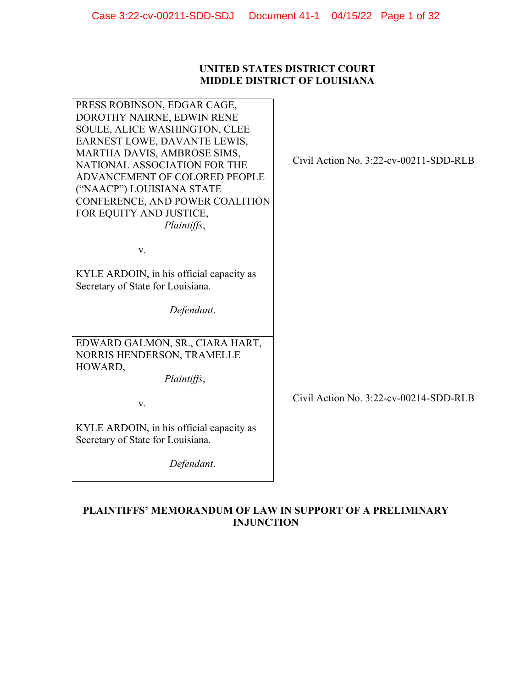## **UNITED STATES DISTRICT COURT MIDDLE DISTRICT OF LOUISIANA**

| PRESS ROBINSON, EDGAR CAGE,<br>DOROTHY NAIRNE, EDWIN RENE<br>SOULE, ALICE WASHINGTON, CLEE<br>EARNEST LOWE, DAVANTE LEWIS,<br>MARTHA DAVIS, AMBROSE SIMS,<br>NATIONAL ASSOCIATION FOR THE<br>ADVANCEMENT OF COLORED PEOPLE<br>("NAACP") LOUISIANA STATE<br>CONFERENCE, AND POWER COALITION<br>FOR EQUITY AND JUSTICE,<br>Plaintiffs, | Civil Action No. $3:22$ -cv-00211-SDD-RLB |
|--------------------------------------------------------------------------------------------------------------------------------------------------------------------------------------------------------------------------------------------------------------------------------------------------------------------------------------|-------------------------------------------|
| V.                                                                                                                                                                                                                                                                                                                                   |                                           |
| KYLE ARDOIN, in his official capacity as<br>Secretary of State for Louisiana.                                                                                                                                                                                                                                                        |                                           |
| Defendant.                                                                                                                                                                                                                                                                                                                           |                                           |
| EDWARD GALMON, SR., CIARA HART,<br>NORRIS HENDERSON, TRAMELLE<br>HOWARD,<br>Plaintiffs,                                                                                                                                                                                                                                              |                                           |
| V.                                                                                                                                                                                                                                                                                                                                   | Civil Action No. $3:22$ -cv-00214-SDD-RLB |
| KYLE ARDOIN, in his official capacity as<br>Secretary of State for Louisiana.                                                                                                                                                                                                                                                        |                                           |
| Defendant.                                                                                                                                                                                                                                                                                                                           |                                           |

## **PLAINTIFFS' MEMORANDUM OF LAW IN SUPPORT OF A PRELIMINARY INJUNCTION**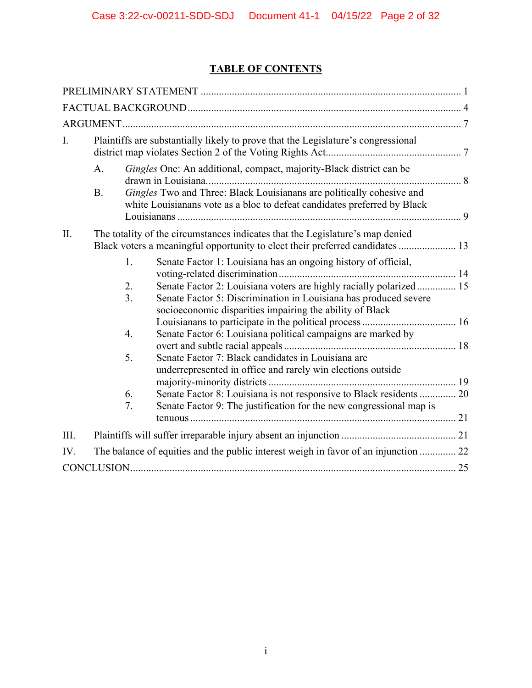## **TABLE OF CONTENTS**

| I.   |           |                | Plaintiffs are substantially likely to prove that the Legislature's congressional                                                                                                                                                                                    |  |
|------|-----------|----------------|----------------------------------------------------------------------------------------------------------------------------------------------------------------------------------------------------------------------------------------------------------------------|--|
|      | A.        |                | Gingles One: An additional, compact, majority-Black district can be                                                                                                                                                                                                  |  |
|      | <b>B.</b> |                | Gingles Two and Three: Black Louisianans are politically cohesive and<br>white Louisianans vote as a bloc to defeat candidates preferred by Black                                                                                                                    |  |
| II.  |           |                | The totality of the circumstances indicates that the Legislature's map denied                                                                                                                                                                                        |  |
|      |           | 1.<br>2.<br>3. | Senate Factor 1: Louisiana has an ongoing history of official,<br>Senate Factor 2: Louisiana voters are highly racially polarized 15<br>Senate Factor 5: Discrimination in Louisiana has produced severe<br>socioeconomic disparities impairing the ability of Black |  |
|      |           | 4.             | Senate Factor 6: Louisiana political campaigns are marked by                                                                                                                                                                                                         |  |
|      |           | 5.             | Senate Factor 7: Black candidates in Louisiana are<br>underrepresented in office and rarely win elections outside                                                                                                                                                    |  |
|      |           | 6.             | Senate Factor 8: Louisiana is not responsive to Black residents  20                                                                                                                                                                                                  |  |
|      |           | 7.             | Senate Factor 9: The justification for the new congressional map is                                                                                                                                                                                                  |  |
| III. |           |                |                                                                                                                                                                                                                                                                      |  |
| IV.  |           |                | The balance of equities and the public interest weigh in favor of an injunction  22                                                                                                                                                                                  |  |
|      |           |                |                                                                                                                                                                                                                                                                      |  |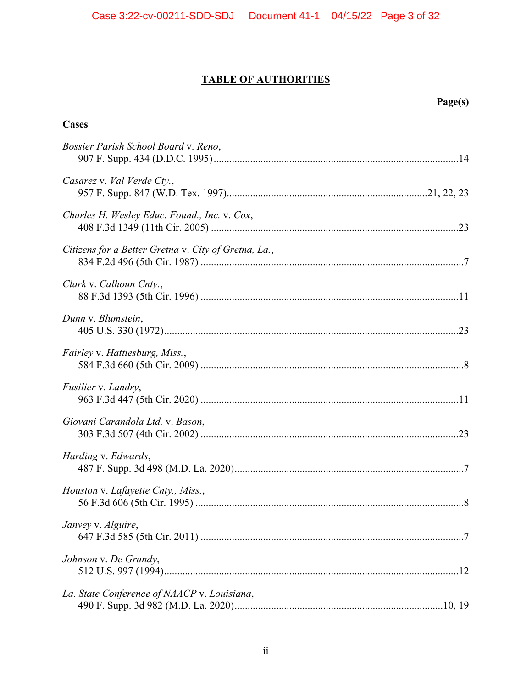## **TABLE OF AUTHORITIES**

| Cases                                                |
|------------------------------------------------------|
| Bossier Parish School Board v. Reno,                 |
| Casarez v. Val Verde Cty.,                           |
| Charles H. Wesley Educ. Found., Inc. v. Cox,         |
| Citizens for a Better Gretna v. City of Gretna, La., |
| Clark v. Calhoun Cnty.,                              |
| Dunn v. Blumstein,                                   |
| Fairley v. Hattiesburg, Miss.,                       |
| Fusilier v. Landry,                                  |
| Giovani Carandola Ltd. v. Bason,                     |
| Harding v. Edwards,                                  |
| Houston v. Lafayette Cnty., Miss.,                   |
| Janvey v. Alguire,                                   |
| Johnson v. De Grandy,                                |
| La. State Conference of NAACP v. Louisiana,          |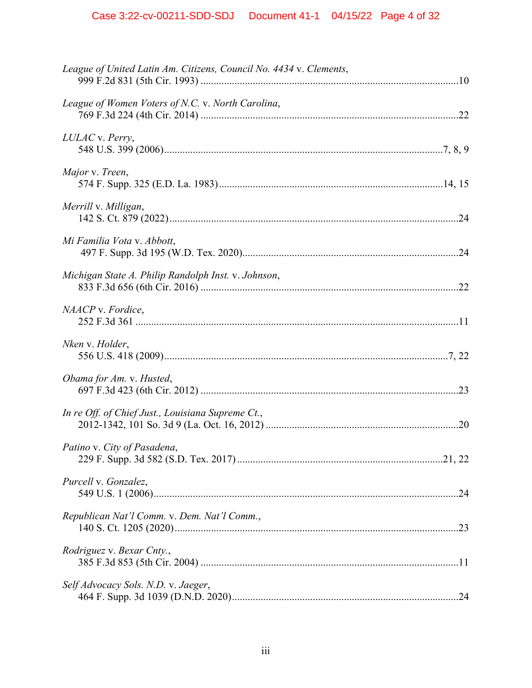| League of United Latin Am. Citizens, Council No. 4434 v. Clements, |  |
|--------------------------------------------------------------------|--|
| League of Women Voters of N.C. v. North Carolina,                  |  |
| LULAC v. Perry,                                                    |  |
| Major v. Treen,                                                    |  |
| Merrill v. Milligan,                                               |  |
| Mi Familia Vota v. Abbott,                                         |  |
| Michigan State A. Philip Randolph Inst. v. Johnson,                |  |
| NAACP v. Fordice,                                                  |  |
| Nken v. Holder,                                                    |  |
| Obama for Am. v. Husted,                                           |  |
| In re Off. of Chief Just., Louisiana Supreme Ct.,                  |  |
| Patino v. City of Pasadena,                                        |  |
| Purcell v. Gonzalez,                                               |  |
| Republican Nat'l Comm. v. Dem. Nat'l Comm.,                        |  |
| Rodriguez v. Bexar Cnty.,                                          |  |
| Self Advocacy Sols. N.D. v. Jaeger,                                |  |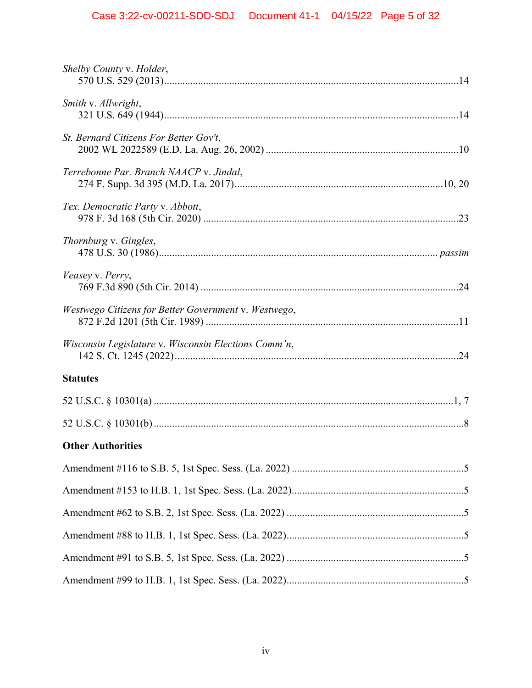# Case 3:22-cv-00211-SDD-SDJ Document 41-1 04/15/22 Page 5 of 32

| Shelby County v. Holder,                             |
|------------------------------------------------------|
| Smith v. Allwright,                                  |
| St. Bernard Citizens For Better Gov't,               |
| Terrebonne Par. Branch NAACP v. Jindal,              |
| Tex. Democratic Party v. Abbott,                     |
| Thornburg v. Gingles,                                |
| Veasey v. Perry,                                     |
| Westwego Citizens for Better Government v. Westwego, |
| Wisconsin Legislature v. Wisconsin Elections Comm'n, |
| <b>Statutes</b>                                      |
|                                                      |
|                                                      |
| <b>Other Authorities</b>                             |
|                                                      |
|                                                      |
|                                                      |
|                                                      |
|                                                      |
|                                                      |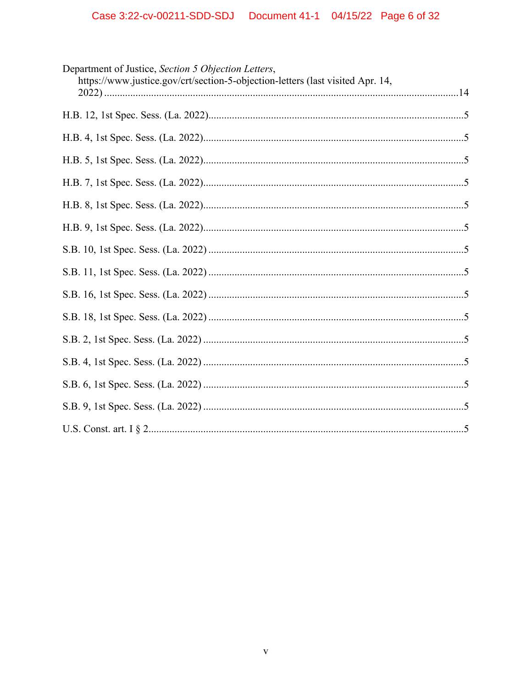| Department of Justice, Section 5 Objection Letters,<br>https://www.justice.gov/crt/section-5-objection-letters (last visited Apr. 14, |
|---------------------------------------------------------------------------------------------------------------------------------------|
|                                                                                                                                       |
|                                                                                                                                       |
|                                                                                                                                       |
|                                                                                                                                       |
|                                                                                                                                       |
|                                                                                                                                       |
|                                                                                                                                       |
|                                                                                                                                       |
|                                                                                                                                       |
|                                                                                                                                       |
|                                                                                                                                       |
|                                                                                                                                       |
|                                                                                                                                       |
|                                                                                                                                       |
|                                                                                                                                       |
|                                                                                                                                       |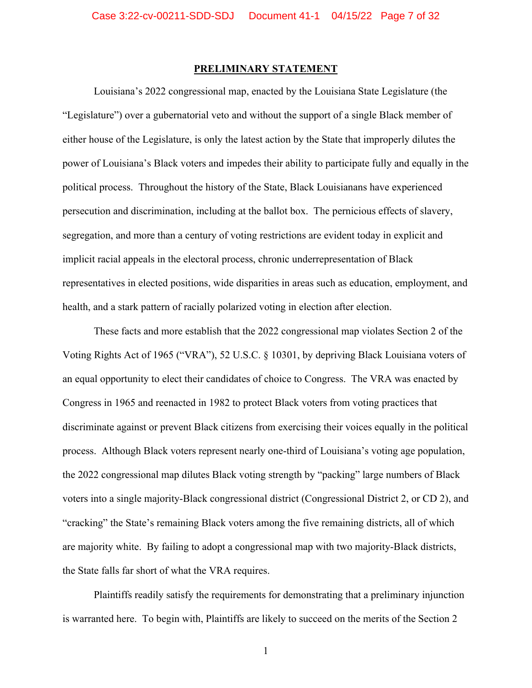#### **PRELIMINARY STATEMENT**

Louisiana's 2022 congressional map, enacted by the Louisiana State Legislature (the "Legislature") over a gubernatorial veto and without the support of a single Black member of either house of the Legislature, is only the latest action by the State that improperly dilutes the power of Louisiana's Black voters and impedes their ability to participate fully and equally in the political process. Throughout the history of the State, Black Louisianans have experienced persecution and discrimination, including at the ballot box. The pernicious effects of slavery, segregation, and more than a century of voting restrictions are evident today in explicit and implicit racial appeals in the electoral process, chronic underrepresentation of Black representatives in elected positions, wide disparities in areas such as education, employment, and health, and a stark pattern of racially polarized voting in election after election.

These facts and more establish that the 2022 congressional map violates Section 2 of the Voting Rights Act of 1965 ("VRA"), 52 U.S.C. § 10301, by depriving Black Louisiana voters of an equal opportunity to elect their candidates of choice to Congress. The VRA was enacted by Congress in 1965 and reenacted in 1982 to protect Black voters from voting practices that discriminate against or prevent Black citizens from exercising their voices equally in the political process. Although Black voters represent nearly one-third of Louisiana's voting age population, the 2022 congressional map dilutes Black voting strength by "packing" large numbers of Black voters into a single majority-Black congressional district (Congressional District 2, or CD 2), and "cracking" the State's remaining Black voters among the five remaining districts, all of which are majority white. By failing to adopt a congressional map with two majority-Black districts, the State falls far short of what the VRA requires.

Plaintiffs readily satisfy the requirements for demonstrating that a preliminary injunction is warranted here. To begin with, Plaintiffs are likely to succeed on the merits of the Section 2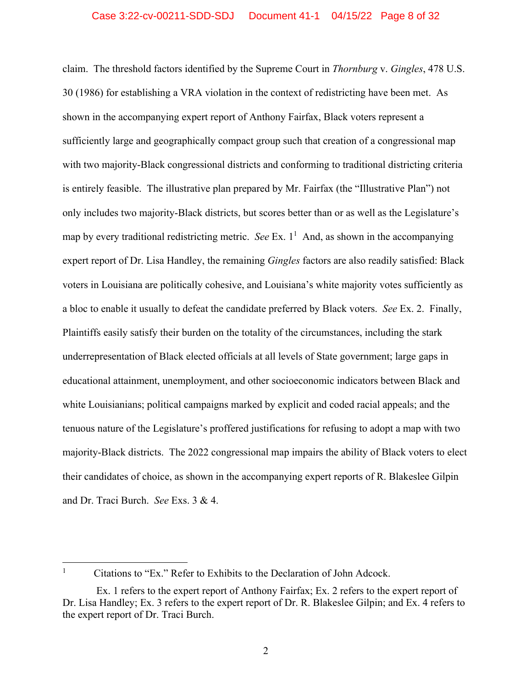claim. The threshold factors identified by the Supreme Court in *Thornburg* v. *Gingles*, 478 U.S. 30 (1986) for establishing a VRA violation in the context of redistricting have been met. As shown in the accompanying expert report of Anthony Fairfax, Black voters represent a sufficiently large and geographically compact group such that creation of a congressional map with two majority-Black congressional districts and conforming to traditional districting criteria is entirely feasible. The illustrative plan prepared by Mr. Fairfax (the "Illustrative Plan") not only includes two majority-Black districts, but scores better than or as well as the Legislature's map by every traditional redistricting metric. *See* Ex.  $1<sup>1</sup>$  And, as shown in the accompanying expert report of Dr. Lisa Handley, the remaining *Gingles* factors are also readily satisfied: Black voters in Louisiana are politically cohesive, and Louisiana's white majority votes sufficiently as a bloc to enable it usually to defeat the candidate preferred by Black voters. *See* Ex. 2. Finally, Plaintiffs easily satisfy their burden on the totality of the circumstances, including the stark underrepresentation of Black elected officials at all levels of State government; large gaps in educational attainment, unemployment, and other socioeconomic indicators between Black and white Louisianians; political campaigns marked by explicit and coded racial appeals; and the tenuous nature of the Legislature's proffered justifications for refusing to adopt a map with two majority-Black districts. The 2022 congressional map impairs the ability of Black voters to elect their candidates of choice, as shown in the accompanying expert reports of R. Blakeslee Gilpin and Dr. Traci Burch. *See* Exs. 3 & 4.

<sup>1</sup> Citations to "Ex." Refer to Exhibits to the Declaration of John Adcock.

Ex. 1 refers to the expert report of Anthony Fairfax; Ex. 2 refers to the expert report of Dr. Lisa Handley; Ex. 3 refers to the expert report of Dr. R. Blakeslee Gilpin; and Ex. 4 refers to the expert report of Dr. Traci Burch.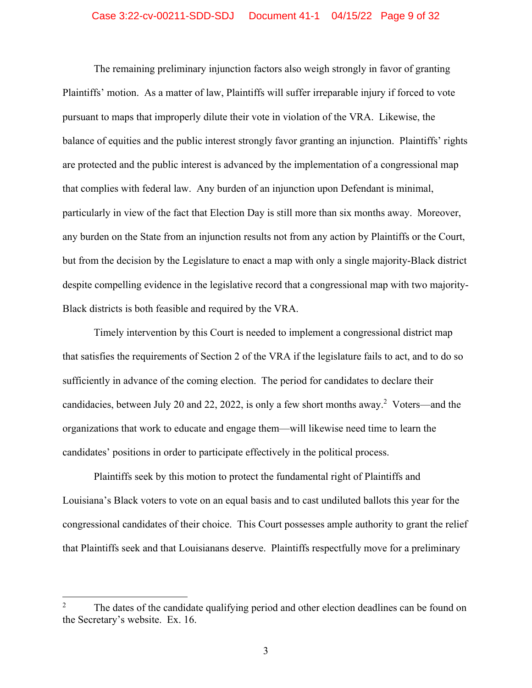#### Case 3:22-cv-00211-SDD-SDJ Document 41-1 04/15/22 Page 9 of 32

The remaining preliminary injunction factors also weigh strongly in favor of granting Plaintiffs' motion. As a matter of law, Plaintiffs will suffer irreparable injury if forced to vote pursuant to maps that improperly dilute their vote in violation of the VRA. Likewise, the balance of equities and the public interest strongly favor granting an injunction. Plaintiffs' rights are protected and the public interest is advanced by the implementation of a congressional map that complies with federal law. Any burden of an injunction upon Defendant is minimal, particularly in view of the fact that Election Day is still more than six months away. Moreover, any burden on the State from an injunction results not from any action by Plaintiffs or the Court, but from the decision by the Legislature to enact a map with only a single majority-Black district despite compelling evidence in the legislative record that a congressional map with two majority-Black districts is both feasible and required by the VRA.

Timely intervention by this Court is needed to implement a congressional district map that satisfies the requirements of Section 2 of the VRA if the legislature fails to act, and to do so sufficiently in advance of the coming election. The period for candidates to declare their candidacies, between July 20 and 22, 2022, is only a few short months away.<sup>2</sup> Voters—and the organizations that work to educate and engage them—will likewise need time to learn the candidates' positions in order to participate effectively in the political process.

Plaintiffs seek by this motion to protect the fundamental right of Plaintiffs and Louisiana's Black voters to vote on an equal basis and to cast undiluted ballots this year for the congressional candidates of their choice. This Court possesses ample authority to grant the relief that Plaintiffs seek and that Louisianans deserve. Plaintiffs respectfully move for a preliminary

<sup>2</sup> The dates of the candidate qualifying period and other election deadlines can be found on the Secretary's website. Ex. 16.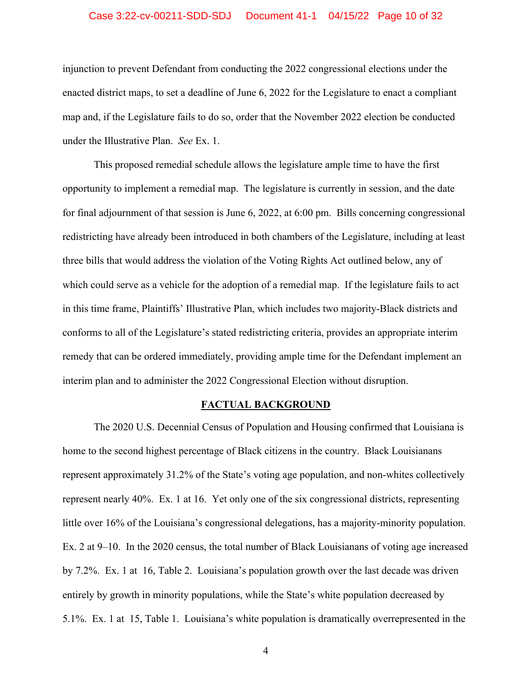#### Case 3:22-cv-00211-SDD-SDJ Document 41-1 04/15/22 Page 10 of 32

injunction to prevent Defendant from conducting the 2022 congressional elections under the enacted district maps, to set a deadline of June 6, 2022 for the Legislature to enact a compliant map and, if the Legislature fails to do so, order that the November 2022 election be conducted under the Illustrative Plan. *See* Ex. 1.

This proposed remedial schedule allows the legislature ample time to have the first opportunity to implement a remedial map. The legislature is currently in session, and the date for final adjournment of that session is June 6, 2022, at 6:00 pm. Bills concerning congressional redistricting have already been introduced in both chambers of the Legislature, including at least three bills that would address the violation of the Voting Rights Act outlined below, any of which could serve as a vehicle for the adoption of a remedial map. If the legislature fails to act in this time frame, Plaintiffs' Illustrative Plan, which includes two majority-Black districts and conforms to all of the Legislature's stated redistricting criteria, provides an appropriate interim remedy that can be ordered immediately, providing ample time for the Defendant implement an interim plan and to administer the 2022 Congressional Election without disruption.

#### **FACTUAL BACKGROUND**

The 2020 U.S. Decennial Census of Population and Housing confirmed that Louisiana is home to the second highest percentage of Black citizens in the country. Black Louisianans represent approximately 31.2% of the State's voting age population, and non-whites collectively represent nearly 40%. Ex. 1 at 16. Yet only one of the six congressional districts, representing little over 16% of the Louisiana's congressional delegations, has a majority-minority population. Ex. 2 at 9–10. In the 2020 census, the total number of Black Louisianans of voting age increased by 7.2%. Ex. 1 at 16, Table 2. Louisiana's population growth over the last decade was driven entirely by growth in minority populations, while the State's white population decreased by 5.1%. Ex. 1 at 15, Table 1. Louisiana's white population is dramatically overrepresented in the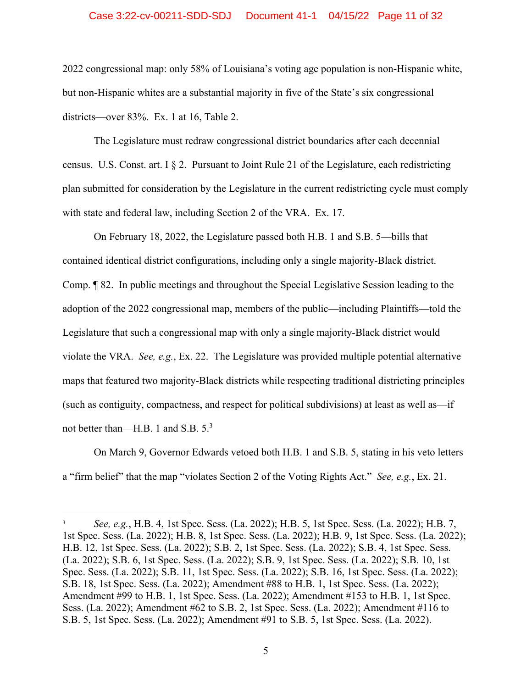#### Case 3:22-cv-00211-SDD-SDJ Document 41-1 04/15/22 Page 11 of 32

2022 congressional map: only 58% of Louisiana's voting age population is non-Hispanic white, but non-Hispanic whites are a substantial majority in five of the State's six congressional districts—over 83%. Ex. 1 at 16, Table 2.

The Legislature must redraw congressional district boundaries after each decennial census. U.S. Const. art.  $I \$  2. Pursuant to Joint Rule 21 of the Legislature, each redistricting plan submitted for consideration by the Legislature in the current redistricting cycle must comply with state and federal law, including Section 2 of the VRA. Ex. 17.

On February 18, 2022, the Legislature passed both H.B. 1 and S.B. 5—bills that contained identical district configurations, including only a single majority-Black district. Comp. ¶ 82. In public meetings and throughout the Special Legislative Session leading to the adoption of the 2022 congressional map, members of the public—including Plaintiffs—told the Legislature that such a congressional map with only a single majority-Black district would violate the VRA. *See, e.g.*, Ex. 22. The Legislature was provided multiple potential alternative maps that featured two majority-Black districts while respecting traditional districting principles (such as contiguity, compactness, and respect for political subdivisions) at least as well as—if not better than—H.B. 1 and S.B.  $5^3$ 

On March 9, Governor Edwards vetoed both H.B. 1 and S.B. 5, stating in his veto letters a "firm belief" that the map "violates Section 2 of the Voting Rights Act." *See, e.g.*, Ex. 21.

<sup>3</sup> *See, e.g.*, H.B. 4, 1st Spec. Sess. (La. 2022); H.B. 5, 1st Spec. Sess. (La. 2022); H.B. 7, 1st Spec. Sess. (La. 2022); H.B. 8, 1st Spec. Sess. (La. 2022); H.B. 9, 1st Spec. Sess. (La. 2022); H.B. 12, 1st Spec. Sess. (La. 2022); S.B. 2, 1st Spec. Sess. (La. 2022); S.B. 4, 1st Spec. Sess. (La. 2022); S.B. 6, 1st Spec. Sess. (La. 2022); S.B. 9, 1st Spec. Sess. (La. 2022); S.B. 10, 1st Spec. Sess. (La. 2022); S.B. 11, 1st Spec. Sess. (La. 2022); S.B. 16, 1st Spec. Sess. (La. 2022); S.B. 18, 1st Spec. Sess. (La. 2022); Amendment #88 to H.B. 1, 1st Spec. Sess. (La. 2022); Amendment #99 to H.B. 1, 1st Spec. Sess. (La. 2022); Amendment #153 to H.B. 1, 1st Spec. Sess. (La. 2022); Amendment #62 to S.B. 2, 1st Spec. Sess. (La. 2022); Amendment #116 to S.B. 5, 1st Spec. Sess. (La. 2022); Amendment #91 to S.B. 5, 1st Spec. Sess. (La. 2022).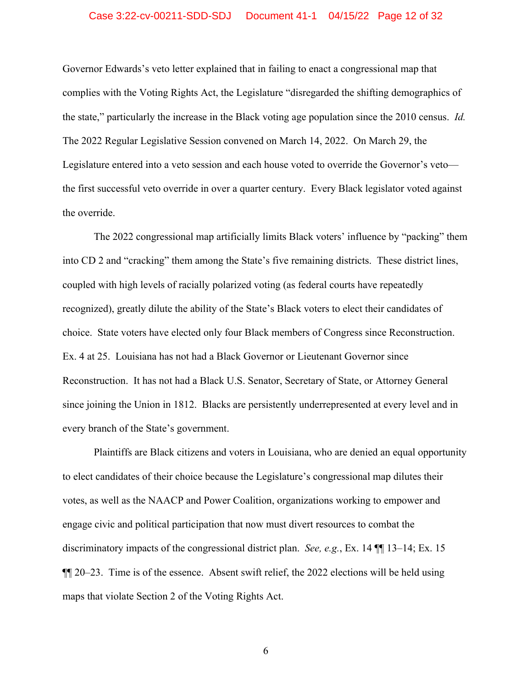#### Case 3:22-cv-00211-SDD-SDJ Document 41-1 04/15/22 Page 12 of 32

Governor Edwards's veto letter explained that in failing to enact a congressional map that complies with the Voting Rights Act, the Legislature "disregarded the shifting demographics of the state," particularly the increase in the Black voting age population since the 2010 census. *Id.*  The 2022 Regular Legislative Session convened on March 14, 2022. On March 29, the Legislature entered into a veto session and each house voted to override the Governor's veto the first successful veto override in over a quarter century. Every Black legislator voted against the override.

The 2022 congressional map artificially limits Black voters' influence by "packing" them into CD 2 and "cracking" them among the State's five remaining districts. These district lines, coupled with high levels of racially polarized voting (as federal courts have repeatedly recognized), greatly dilute the ability of the State's Black voters to elect their candidates of choice. State voters have elected only four Black members of Congress since Reconstruction. Ex. 4 at 25. Louisiana has not had a Black Governor or Lieutenant Governor since Reconstruction. It has not had a Black U.S. Senator, Secretary of State, or Attorney General since joining the Union in 1812. Blacks are persistently underrepresented at every level and in every branch of the State's government.

Plaintiffs are Black citizens and voters in Louisiana, who are denied an equal opportunity to elect candidates of their choice because the Legislature's congressional map dilutes their votes, as well as the NAACP and Power Coalition, organizations working to empower and engage civic and political participation that now must divert resources to combat the discriminatory impacts of the congressional district plan. *See, e.g.*, Ex. 14 ¶¶ 13–14; Ex. 15 ¶¶ 20–23. Time is of the essence. Absent swift relief, the 2022 elections will be held using maps that violate Section 2 of the Voting Rights Act.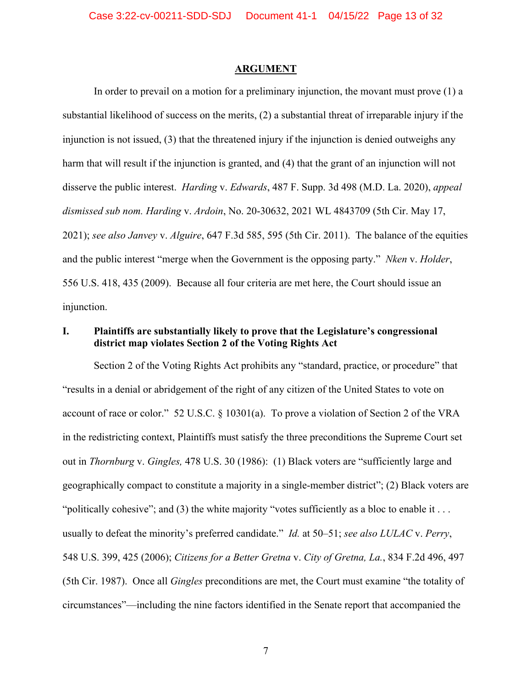#### **ARGUMENT**

In order to prevail on a motion for a preliminary injunction, the movant must prove (1) a substantial likelihood of success on the merits, (2) a substantial threat of irreparable injury if the injunction is not issued, (3) that the threatened injury if the injunction is denied outweighs any harm that will result if the injunction is granted, and (4) that the grant of an injunction will not disserve the public interest. *Harding* v. *Edwards*, 487 F. Supp. 3d 498 (M.D. La. 2020), *appeal dismissed sub nom. Harding* v. *Ardoin*, No. 20-30632, 2021 WL 4843709 (5th Cir. May 17, 2021); *see also Janvey* v. *Alguire*, 647 F.3d 585, 595 (5th Cir. 2011). The balance of the equities and the public interest "merge when the Government is the opposing party." *Nken* v. *Holder*, 556 U.S. 418, 435 (2009). Because all four criteria are met here, the Court should issue an injunction.

## **I. Plaintiffs are substantially likely to prove that the Legislature's congressional district map violates Section 2 of the Voting Rights Act**

Section 2 of the Voting Rights Act prohibits any "standard, practice, or procedure" that "results in a denial or abridgement of the right of any citizen of the United States to vote on account of race or color." 52 U.S.C. § 10301(a). To prove a violation of Section 2 of the VRA in the redistricting context, Plaintiffs must satisfy the three preconditions the Supreme Court set out in *Thornburg* v. *Gingles,* 478 U.S. 30 (1986): (1) Black voters are "sufficiently large and geographically compact to constitute a majority in a single-member district"; (2) Black voters are "politically cohesive"; and (3) the white majority "votes sufficiently as a bloc to enable it ... usually to defeat the minority's preferred candidate." *Id.* at 50–51; *see also LULAC* v. *Perry*, 548 U.S. 399, 425 (2006); *Citizens for a Better Gretna* v. *City of Gretna, La.*, 834 F.2d 496, 497 (5th Cir. 1987). Once all *Gingles* preconditions are met, the Court must examine "the totality of circumstances"—including the nine factors identified in the Senate report that accompanied the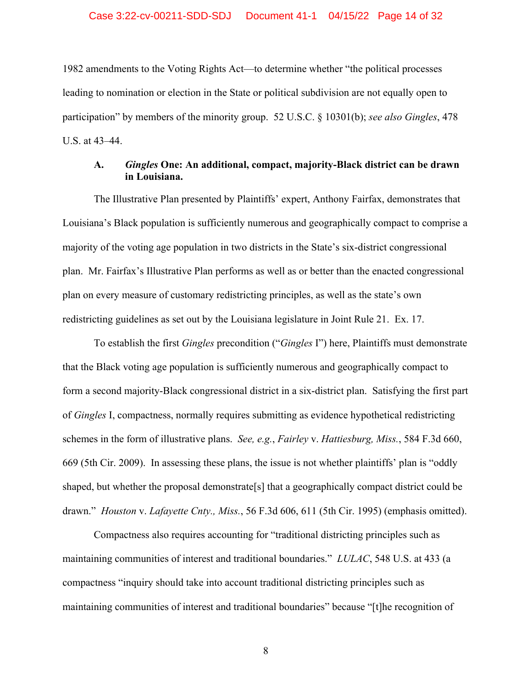1982 amendments to the Voting Rights Act—to determine whether "the political processes leading to nomination or election in the State or political subdivision are not equally open to participation" by members of the minority group. 52 U.S.C. § 10301(b); *see also Gingles*, 478 U.S. at 43–44.

## **A.** *Gingles* **One: An additional, compact, majority-Black district can be drawn in Louisiana.**

The Illustrative Plan presented by Plaintiffs' expert, Anthony Fairfax, demonstrates that Louisiana's Black population is sufficiently numerous and geographically compact to comprise a majority of the voting age population in two districts in the State's six-district congressional plan. Mr. Fairfax's Illustrative Plan performs as well as or better than the enacted congressional plan on every measure of customary redistricting principles, as well as the state's own redistricting guidelines as set out by the Louisiana legislature in Joint Rule 21. Ex. 17.

To establish the first *Gingles* precondition ("*Gingles* I") here, Plaintiffs must demonstrate that the Black voting age population is sufficiently numerous and geographically compact to form a second majority-Black congressional district in a six-district plan. Satisfying the first part of *Gingles* I, compactness, normally requires submitting as evidence hypothetical redistricting schemes in the form of illustrative plans. *See, e.g.*, *Fairley* v. *Hattiesburg, Miss.*, 584 F.3d 660, 669 (5th Cir. 2009). In assessing these plans, the issue is not whether plaintiffs' plan is "oddly shaped, but whether the proposal demonstrate[s] that a geographically compact district could be drawn." *Houston* v. *Lafayette Cnty., Miss.*, 56 F.3d 606, 611 (5th Cir. 1995) (emphasis omitted).

Compactness also requires accounting for "traditional districting principles such as maintaining communities of interest and traditional boundaries." *LULAC*, 548 U.S. at 433 (a compactness "inquiry should take into account traditional districting principles such as maintaining communities of interest and traditional boundaries" because "[t]he recognition of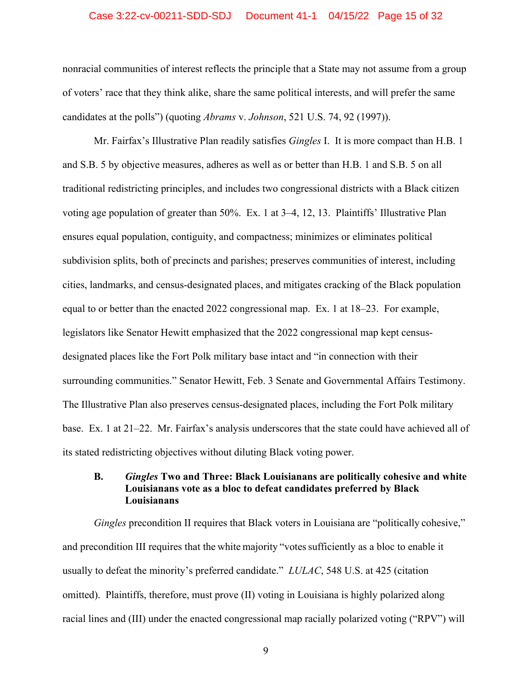#### Case 3:22-cv-00211-SDD-SDJ Document 41-1 04/15/22 Page 15 of 32

nonracial communities of interest reflects the principle that a State may not assume from a group of voters' race that they think alike, share the same political interests, and will prefer the same candidates at the polls") (quoting *Abrams* v. *Johnson*, 521 U.S. 74, 92 (1997)).

Mr. Fairfax's Illustrative Plan readily satisfies *Gingles* I. It is more compact than H.B. 1 and S.B. 5 by objective measures, adheres as well as or better than H.B. 1 and S.B. 5 on all traditional redistricting principles, and includes two congressional districts with a Black citizen voting age population of greater than 50%. Ex. 1 at 3–4, 12, 13. Plaintiffs' Illustrative Plan ensures equal population, contiguity, and compactness; minimizes or eliminates political subdivision splits, both of precincts and parishes; preserves communities of interest, including cities, landmarks, and census-designated places, and mitigates cracking of the Black population equal to or better than the enacted 2022 congressional map. Ex. 1 at 18–23. For example, legislators like Senator Hewitt emphasized that the 2022 congressional map kept censusdesignated places like the Fort Polk military base intact and "in connection with their surrounding communities." Senator Hewitt, Feb. 3 Senate and Governmental Affairs Testimony. The Illustrative Plan also preserves census-designated places, including the Fort Polk military base. Ex. 1 at 21–22. Mr. Fairfax's analysis underscores that the state could have achieved all of its stated redistricting objectives without diluting Black voting power.

### **B.** *Gingles* **Two and Three: Black Louisianans are politically cohesive and white Louisianans vote as a bloc to defeat candidates preferred by Black Louisianans**

*Gingles* precondition II requires that Black voters in Louisiana are "politically cohesive," and precondition III requires that the white majority "votes sufficiently as a bloc to enable it usually to defeat the minority's preferred candidate." *LULAC*, 548 U.S. at 425 (citation omitted). Plaintiffs, therefore, must prove (II) voting in Louisiana is highly polarized along racial lines and (III) under the enacted congressional map racially polarized voting ("RPV") will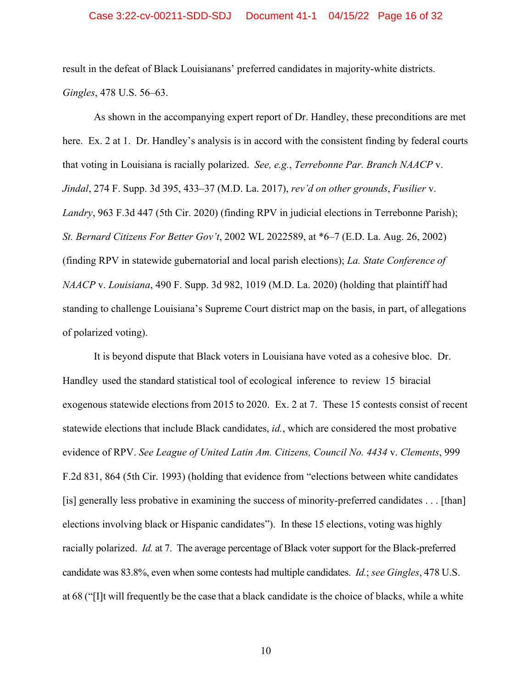#### Case 3:22-cv-00211-SDD-SDJ Document 41-1 04/15/22 Page 16 of 32

result in the defeat of Black Louisianans' preferred candidates in majority-white districts. *Gingles*, 478 U.S. 56–63.

As shown in the accompanying expert report of Dr. Handley, these preconditions are met here. Ex. 2 at 1. Dr. Handley's analysis is in accord with the consistent finding by federal courts that voting in Louisiana is racially polarized. *See, e.g.*, *Terrebonne Par. Branch NAACP* v. *Jindal*, 274 F. Supp. 3d 395, 433–37 (M.D. La. 2017), *rev'd on other grounds*, *Fusilier* v. *Landry*, 963 F.3d 447 (5th Cir. 2020) (finding RPV in judicial elections in Terrebonne Parish); *St. Bernard Citizens For Better Gov't*, 2002 WL 2022589, at \*6–7 (E.D. La. Aug. 26, 2002) (finding RPV in statewide gubernatorial and local parish elections); *La. State Conference of NAACP* v. *Louisiana*, 490 F. Supp. 3d 982, 1019 (M.D. La. 2020) (holding that plaintiff had standing to challenge Louisiana's Supreme Court district map on the basis, in part, of allegations of polarized voting).

It is beyond dispute that Black voters in Louisiana have voted as a cohesive bloc. Dr. Handley used the standard statistical tool of ecological inference to review 15 biracial exogenous statewide elections from 2015 to 2020. Ex. 2 at 7. These 15 contests consist of recent statewide elections that include Black candidates, *id.*, which are considered the most probative evidence of RPV. *See League of United Latin Am. Citizens, Council No. 4434* v. *Clements*, 999 F.2d 831, 864 (5th Cir. 1993) (holding that evidence from "elections between white candidates [is] generally less probative in examining the success of minority-preferred candidates . . . [than] elections involving black or Hispanic candidates"). In these 15 elections, voting was highly racially polarized. *Id.* at 7. The average percentage of Black voter support for the Black-preferred candidate was 83.8%, even when some contests had multiple candidates. *Id.*; *see Gingles*, 478 U.S. at 68 ("[I]t will frequently be the case that a black candidate is the choice of blacks, while a white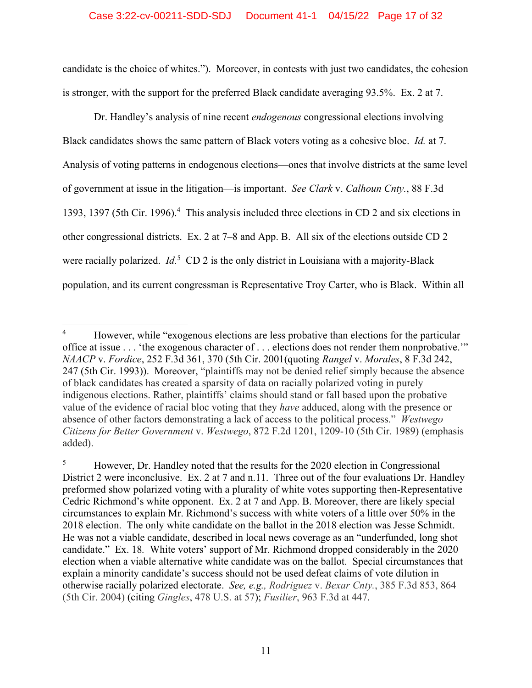#### Case 3:22-cv-00211-SDD-SDJ Document 41-1 04/15/22 Page 17 of 32

candidate is the choice of whites."). Moreover, in contests with just two candidates, the cohesion is stronger, with the support for the preferred Black candidate averaging 93.5%. Ex. 2 at 7.

Dr. Handley's analysis of nine recent *endogenous* congressional elections involving Black candidates shows the same pattern of Black voters voting as a cohesive bloc. *Id.* at 7. Analysis of voting patterns in endogenous elections—ones that involve districts at the same level of government at issue in the litigation—is important. *See Clark* v. *Calhoun Cnty.*, 88 F.3d 1393, 1397 (5th Cir. 1996).<sup>4</sup> This analysis included three elections in CD 2 and six elections in other congressional districts. Ex. 2 at 7–8 and App. B. All six of the elections outside CD 2 were racially polarized. *Id*.<sup>5</sup> CD 2 is the only district in Louisiana with a majority-Black population, and its current congressman is Representative Troy Carter, who is Black. Within all

<sup>4</sup> However, while "exogenous elections are less probative than elections for the particular office at issue . . . 'the exogenous character of . . . elections does not render them nonprobative.'" *NAACP* v. *Fordice*, 252 F.3d 361, 370 (5th Cir. 2001(quoting *Rangel* v. *Morales*, 8 F.3d 242, 247 (5th Cir. 1993)). Moreover, "plaintiffs may not be denied relief simply because the absence of black candidates has created a sparsity of data on racially polarized voting in purely indigenous elections. Rather, plaintiffs' claims should stand or fall based upon the probative value of the evidence of racial bloc voting that they *have* adduced, along with the presence or absence of other factors demonstrating a lack of access to the political process." *Westwego Citizens for Better Government* v. *Westwego*, 872 F.2d 1201, 1209-10 (5th Cir. 1989) (emphasis added).

<sup>5</sup> However, Dr. Handley noted that the results for the 2020 election in Congressional District 2 were inconclusive. Ex. 2 at 7 and n.11. Three out of the four evaluations Dr. Handley preformed show polarized voting with a plurality of white votes supporting then-Representative Cedric Richmond's white opponent. Ex. 2 at 7 and App. B. Moreover, there are likely special circumstances to explain Mr. Richmond's success with white voters of a little over 50% in the 2018 election. The only white candidate on the ballot in the 2018 election was Jesse Schmidt. He was not a viable candidate, described in local news coverage as an "underfunded, long shot candidate." Ex. 18*.* White voters' support of Mr. Richmond dropped considerably in the 2020 election when a viable alternative white candidate was on the ballot. Special circumstances that explain a minority candidate's success should not be used defeat claims of vote dilution in otherwise racially polarized electorate. *See, e.g., Rodriguez* v. *Bexar Cnty.*, 385 F.3d 853, 864 (5th Cir. 2004) (citing *Gingles*, 478 U.S. at 57); *Fusilier*, 963 F.3d at 447.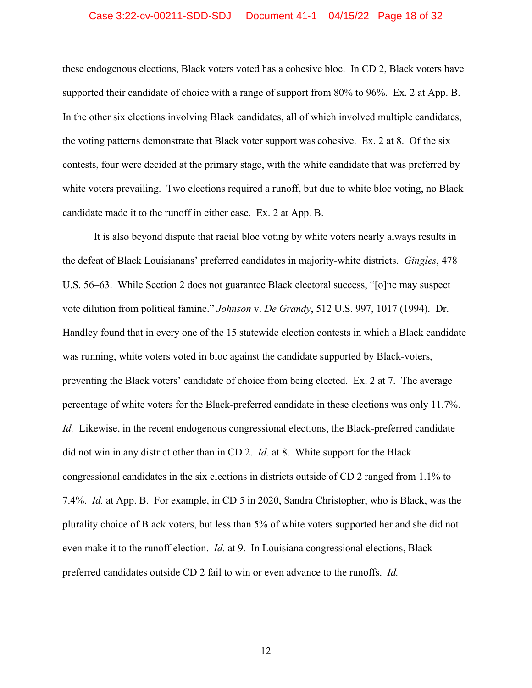#### Case 3:22-cv-00211-SDD-SDJ Document 41-1 04/15/22 Page 18 of 32

these endogenous elections, Black voters voted has a cohesive bloc. In CD 2, Black voters have supported their candidate of choice with a range of support from 80% to 96%. Ex. 2 at App. B. In the other six elections involving Black candidates, all of which involved multiple candidates, the voting patterns demonstrate that Black voter support was cohesive. Ex. 2 at 8. Of the six contests, four were decided at the primary stage, with the white candidate that was preferred by white voters prevailing. Two elections required a runoff, but due to white bloc voting, no Black candidate made it to the runoff in either case. Ex. 2 at App. B.

It is also beyond dispute that racial bloc voting by white voters nearly always results in the defeat of Black Louisianans' preferred candidates in majority-white districts. *Gingles*, 478 U.S. 56–63. While Section 2 does not guarantee Black electoral success, "[o]ne may suspect vote dilution from political famine." *Johnson* v. *De Grandy*, 512 U.S. 997, 1017 (1994). Dr. Handley found that in every one of the 15 statewide election contests in which a Black candidate was running, white voters voted in bloc against the candidate supported by Black-voters, preventing the Black voters' candidate of choice from being elected. Ex. 2 at 7. The average percentage of white voters for the Black-preferred candidate in these elections was only 11.7%. *Id.* Likewise, in the recent endogenous congressional elections, the Black-preferred candidate did not win in any district other than in CD 2. *Id.* at 8. White support for the Black congressional candidates in the six elections in districts outside of CD 2 ranged from 1.1% to 7.4%. *Id.* at App. B. For example, in CD 5 in 2020, Sandra Christopher, who is Black, was the plurality choice of Black voters, but less than 5% of white voters supported her and she did not even make it to the runoff election. *Id.* at 9. In Louisiana congressional elections, Black preferred candidates outside CD 2 fail to win or even advance to the runoffs. *Id.*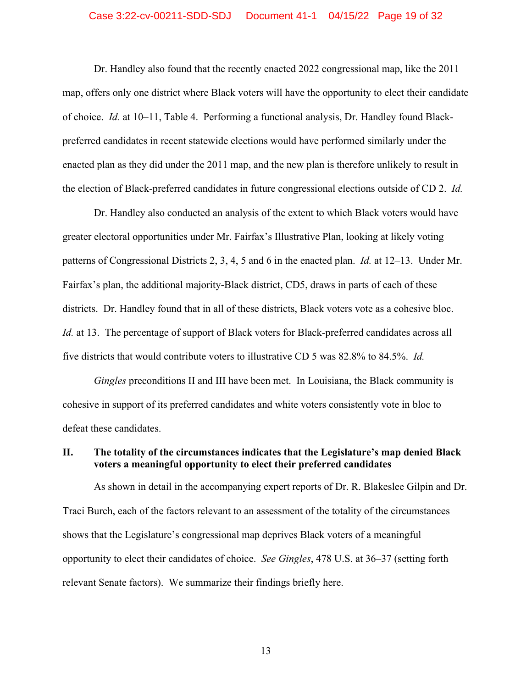#### Case 3:22-cv-00211-SDD-SDJ Document 41-1 04/15/22 Page 19 of 32

Dr. Handley also found that the recently enacted 2022 congressional map, like the 2011 map, offers only one district where Black voters will have the opportunity to elect their candidate of choice. *Id.* at 10–11, Table 4. Performing a functional analysis, Dr. Handley found Blackpreferred candidates in recent statewide elections would have performed similarly under the enacted plan as they did under the 2011 map, and the new plan is therefore unlikely to result in the election of Black-preferred candidates in future congressional elections outside of CD 2. *Id.*

Dr. Handley also conducted an analysis of the extent to which Black voters would have greater electoral opportunities under Mr. Fairfax's Illustrative Plan, looking at likely voting patterns of Congressional Districts 2, 3, 4, 5 and 6 in the enacted plan. *Id.* at 12–13. Under Mr. Fairfax's plan, the additional majority-Black district, CD5, draws in parts of each of these districts. Dr. Handley found that in all of these districts, Black voters vote as a cohesive bloc. *Id.* at 13. The percentage of support of Black voters for Black-preferred candidates across all five districts that would contribute voters to illustrative CD 5 was 82.8% to 84.5%. *Id.*

*Gingles* preconditions II and III have been met. In Louisiana, the Black community is cohesive in support of its preferred candidates and white voters consistently vote in bloc to defeat these candidates.

### **II. The totality of the circumstances indicates that the Legislature's map denied Black voters a meaningful opportunity to elect their preferred candidates**

As shown in detail in the accompanying expert reports of Dr. R. Blakeslee Gilpin and Dr. Traci Burch, each of the factors relevant to an assessment of the totality of the circumstances shows that the Legislature's congressional map deprives Black voters of a meaningful opportunity to elect their candidates of choice. *See Gingles*, 478 U.S. at 36–37 (setting forth relevant Senate factors). We summarize their findings briefly here.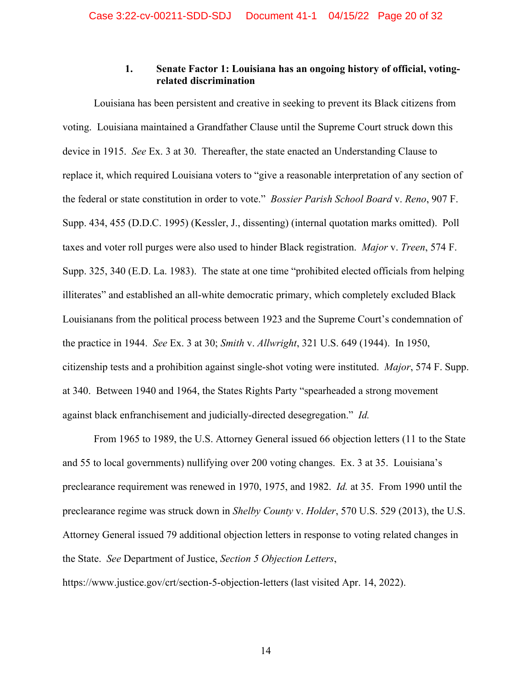#### **1. Senate Factor 1: Louisiana has an ongoing history of official, votingrelated discrimination**

Louisiana has been persistent and creative in seeking to prevent its Black citizens from voting. Louisiana maintained a Grandfather Clause until the Supreme Court struck down this device in 1915. *See* Ex. 3 at 30. Thereafter, the state enacted an Understanding Clause to replace it, which required Louisiana voters to "give a reasonable interpretation of any section of the federal or state constitution in order to vote." *Bossier Parish School Board* v. *Reno*, 907 F. Supp. 434, 455 (D.D.C. 1995) (Kessler, J., dissenting) (internal quotation marks omitted). Poll taxes and voter roll purges were also used to hinder Black registration. *Major* v. *Treen*, 574 F. Supp. 325, 340 (E.D. La. 1983). The state at one time "prohibited elected officials from helping illiterates" and established an all-white democratic primary, which completely excluded Black Louisianans from the political process between 1923 and the Supreme Court's condemnation of the practice in 1944. *See* Ex. 3 at 30; *Smith* v. *Allwright*, 321 U.S. 649 (1944). In 1950, citizenship tests and a prohibition against single-shot voting were instituted. *Major*, 574 F. Supp. at 340. Between 1940 and 1964, the States Rights Party "spearheaded a strong movement against black enfranchisement and judicially-directed desegregation." *Id.*

From 1965 to 1989, the U.S. Attorney General issued 66 objection letters (11 to the State and 55 to local governments) nullifying over 200 voting changes. Ex. 3 at 35. Louisiana's preclearance requirement was renewed in 1970, 1975, and 1982. *Id.* at 35. From 1990 until the preclearance regime was struck down in *Shelby County* v. *Holder*, 570 U.S. 529 (2013), the U.S. Attorney General issued 79 additional objection letters in response to voting related changes in the State. *See* Department of Justice, *Section 5 Objection Letters*, https://www.justice.gov/crt/section-5-objection-letters (last visited Apr. 14, 2022).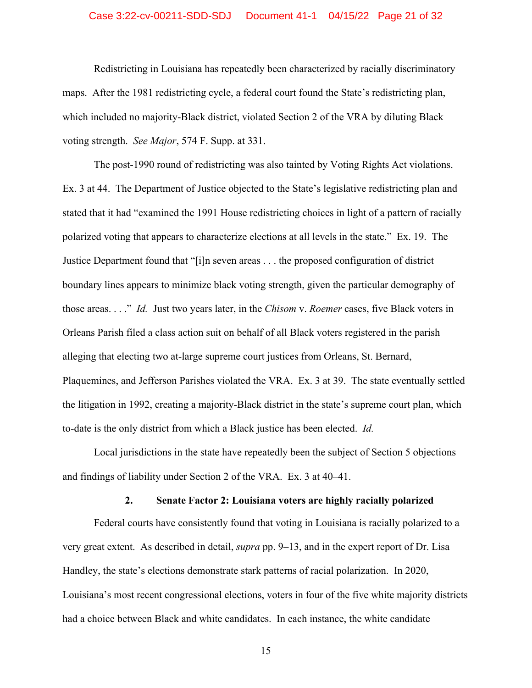#### Case 3:22-cv-00211-SDD-SDJ Document 41-1 04/15/22 Page 21 of 32

Redistricting in Louisiana has repeatedly been characterized by racially discriminatory maps. After the 1981 redistricting cycle, a federal court found the State's redistricting plan, which included no majority-Black district, violated Section 2 of the VRA by diluting Black voting strength. *See Major*, 574 F. Supp. at 331.

The post-1990 round of redistricting was also tainted by Voting Rights Act violations. Ex. 3 at 44. The Department of Justice objected to the State's legislative redistricting plan and stated that it had "examined the 1991 House redistricting choices in light of a pattern of racially polarized voting that appears to characterize elections at all levels in the state." Ex. 19. The Justice Department found that "[i]n seven areas . . . the proposed configuration of district boundary lines appears to minimize black voting strength, given the particular demography of those areas. . . ." *Id.* Just two years later, in the *Chisom* v. *Roemer* cases, five Black voters in Orleans Parish filed a class action suit on behalf of all Black voters registered in the parish alleging that electing two at-large supreme court justices from Orleans, St. Bernard, Plaquemines, and Jefferson Parishes violated the VRA. Ex. 3 at 39. The state eventually settled the litigation in 1992, creating a majority-Black district in the state's supreme court plan, which to-date is the only district from which a Black justice has been elected. *Id.* 

Local jurisdictions in the state have repeatedly been the subject of Section 5 objections and findings of liability under Section 2 of the VRA. Ex. 3 at 40–41.

#### **2. Senate Factor 2: Louisiana voters are highly racially polarized**

Federal courts have consistently found that voting in Louisiana is racially polarized to a very great extent. As described in detail, *supra* pp. 9–13, and in the expert report of Dr. Lisa Handley, the state's elections demonstrate stark patterns of racial polarization. In 2020, Louisiana's most recent congressional elections, voters in four of the five white majority districts had a choice between Black and white candidates. In each instance, the white candidate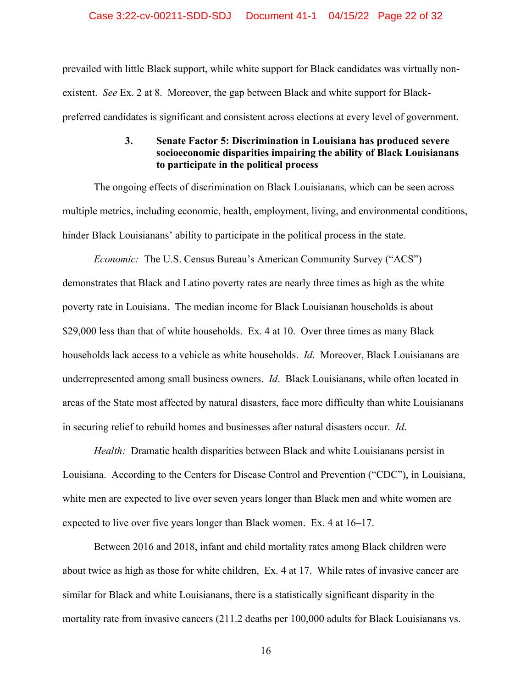prevailed with little Black support, while white support for Black candidates was virtually nonexistent. *See* Ex. 2 at 8. Moreover, the gap between Black and white support for Blackpreferred candidates is significant and consistent across elections at every level of government.

## **3. Senate Factor 5: Discrimination in Louisiana has produced severe socioeconomic disparities impairing the ability of Black Louisianans to participate in the political process**

The ongoing effects of discrimination on Black Louisianans, which can be seen across multiple metrics, including economic, health, employment, living, and environmental conditions, hinder Black Louisianans' ability to participate in the political process in the state.

*Economic:* The U.S. Census Bureau's American Community Survey ("ACS") demonstrates that Black and Latino poverty rates are nearly three times as high as the white poverty rate in Louisiana. The median income for Black Louisianan households is about \$29,000 less than that of white households. Ex. 4 at 10. Over three times as many Black households lack access to a vehicle as white households. *Id*. Moreover, Black Louisianans are underrepresented among small business owners. *Id*. Black Louisianans, while often located in areas of the State most affected by natural disasters, face more difficulty than white Louisianans in securing relief to rebuild homes and businesses after natural disasters occur. *Id*.

*Health:* Dramatic health disparities between Black and white Louisianans persist in Louisiana. According to the Centers for Disease Control and Prevention ("CDC"), in Louisiana, white men are expected to live over seven years longer than Black men and white women are expected to live over five years longer than Black women. Ex. 4 at 16–17.

Between 2016 and 2018, infant and child mortality rates among Black children were about twice as high as those for white children, Ex. 4 at 17. While rates of invasive cancer are similar for Black and white Louisianans, there is a statistically significant disparity in the mortality rate from invasive cancers (211.2 deaths per 100,000 adults for Black Louisianans vs.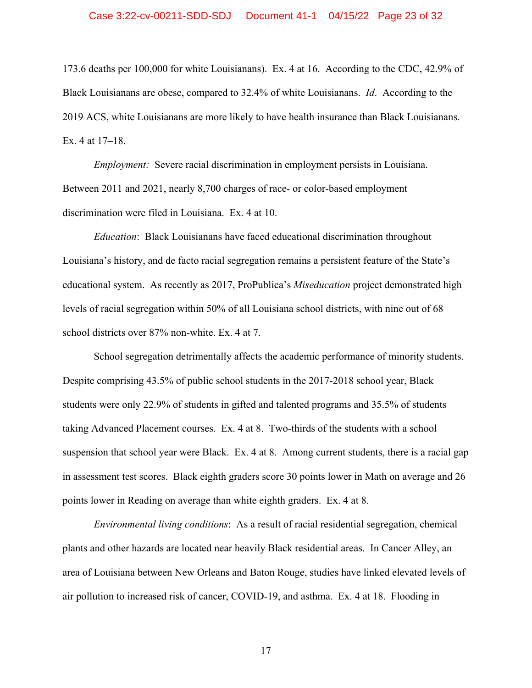#### Case 3:22-cv-00211-SDD-SDJ Document 41-1 04/15/22 Page 23 of 32

173.6 deaths per 100,000 for white Louisianans). Ex. 4 at 16. According to the CDC, 42.9% of Black Louisianans are obese, compared to 32.4% of white Louisianans. *Id*. According to the 2019 ACS, white Louisianans are more likely to have health insurance than Black Louisianans. Ex. 4 at 17–18.

*Employment:* Severe racial discrimination in employment persists in Louisiana. Between 2011 and 2021, nearly 8,700 charges of race- or color-based employment discrimination were filed in Louisiana. Ex. 4 at 10.

*Education*:Black Louisianans have faced educational discrimination throughout Louisiana's history, and de facto racial segregation remains a persistent feature of the State's educational system. As recently as 2017, ProPublica's *Miseducation* project demonstrated high levels of racial segregation within 50% of all Louisiana school districts, with nine out of 68 school districts over 87% non-white. Ex. 4 at 7.

School segregation detrimentally affects the academic performance of minority students. Despite comprising 43.5% of public school students in the 2017-2018 school year, Black students were only 22.9% of students in gifted and talented programs and 35.5% of students taking Advanced Placement courses. Ex. 4 at 8. Two-thirds of the students with a school suspension that school year were Black. Ex. 4 at 8. Among current students, there is a racial gap in assessment test scores. Black eighth graders score 30 points lower in Math on average and 26 points lower in Reading on average than white eighth graders. Ex. 4 at 8.

*Environmental living conditions*:As a result of racial residential segregation, chemical plants and other hazards are located near heavily Black residential areas. In Cancer Alley, an area of Louisiana between New Orleans and Baton Rouge, studies have linked elevated levels of air pollution to increased risk of cancer, COVID-19, and asthma. Ex. 4 at 18. Flooding in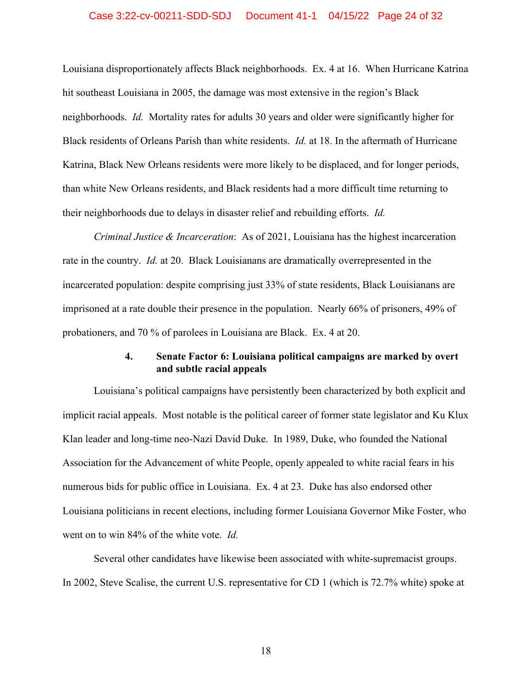#### Case 3:22-cv-00211-SDD-SDJ Document 41-1 04/15/22 Page 24 of 32

Louisiana disproportionately affects Black neighborhoods. Ex. 4 at 16. When Hurricane Katrina hit southeast Louisiana in 2005, the damage was most extensive in the region's Black neighborhoods. *Id.* Mortality rates for adults 30 years and older were significantly higher for Black residents of Orleans Parish than white residents. *Id.* at 18. In the aftermath of Hurricane Katrina, Black New Orleans residents were more likely to be displaced, and for longer periods, than white New Orleans residents, and Black residents had a more difficult time returning to their neighborhoods due to delays in disaster relief and rebuilding efforts. *Id.* 

*Criminal Justice & Incarceration*:As of 2021, Louisiana has the highest incarceration rate in the country. *Id.* at 20. Black Louisianans are dramatically overrepresented in the incarcerated population: despite comprising just 33% of state residents, Black Louisianans are imprisoned at a rate double their presence in the population. Nearly 66% of prisoners, 49% of probationers, and 70 % of parolees in Louisiana are Black. Ex. 4 at 20.

#### **4. Senate Factor 6: Louisiana political campaigns are marked by overt and subtle racial appeals**

Louisiana's political campaigns have persistently been characterized by both explicit and implicit racial appeals. Most notable is the political career of former state legislator and Ku Klux Klan leader and long-time neo-Nazi David Duke. In 1989, Duke, who founded the National Association for the Advancement of white People, openly appealed to white racial fears in his numerous bids for public office in Louisiana. Ex. 4 at 23. Duke has also endorsed other Louisiana politicians in recent elections, including former Louisiana Governor Mike Foster, who went on to win 84% of the white vote. *Id.* 

Several other candidates have likewise been associated with white-supremacist groups. In 2002, Steve Scalise, the current U.S. representative for CD 1 (which is 72.7% white) spoke at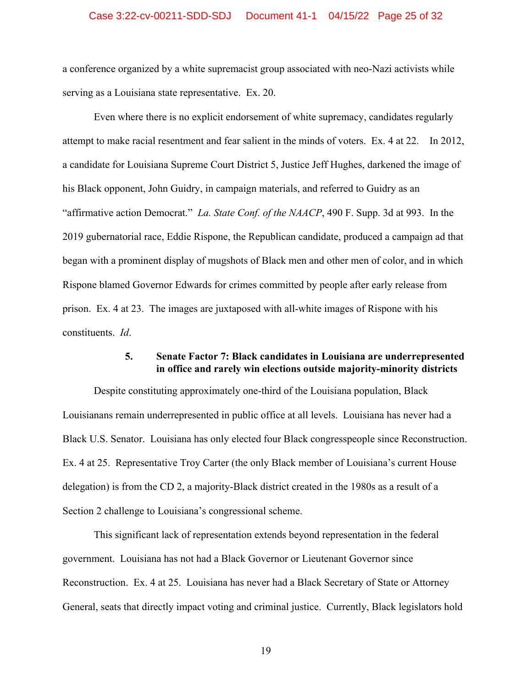#### Case 3:22-cv-00211-SDD-SDJ Document 41-1 04/15/22 Page 25 of 32

a conference organized by a white supremacist group associated with neo-Nazi activists while serving as a Louisiana state representative. Ex. 20.

Even where there is no explicit endorsement of white supremacy, candidates regularly attempt to make racial resentment and fear salient in the minds of voters. Ex. 4 at 22. In 2012, a candidate for Louisiana Supreme Court District 5, Justice Jeff Hughes, darkened the image of his Black opponent, John Guidry, in campaign materials, and referred to Guidry as an "affirmative action Democrat." *La. State Conf. of the NAACP*, 490 F. Supp. 3d at 993. In the 2019 gubernatorial race, Eddie Rispone, the Republican candidate, produced a campaign ad that began with a prominent display of mugshots of Black men and other men of color, and in which Rispone blamed Governor Edwards for crimes committed by people after early release from prison. Ex. 4 at 23. The images are juxtaposed with all-white images of Rispone with his constituents. *Id*.

#### **5. Senate Factor 7: Black candidates in Louisiana are underrepresented in office and rarely win elections outside majority-minority districts**

Despite constituting approximately one-third of the Louisiana population, Black Louisianans remain underrepresented in public office at all levels. Louisiana has never had a Black U.S. Senator. Louisiana has only elected four Black congresspeople since Reconstruction. Ex. 4 at 25. Representative Troy Carter (the only Black member of Louisiana's current House delegation) is from the CD 2, a majority-Black district created in the 1980s as a result of a Section 2 challenge to Louisiana's congressional scheme.

This significant lack of representation extends beyond representation in the federal government. Louisiana has not had a Black Governor or Lieutenant Governor since Reconstruction. Ex. 4 at 25. Louisiana has never had a Black Secretary of State or Attorney General, seats that directly impact voting and criminal justice. Currently, Black legislators hold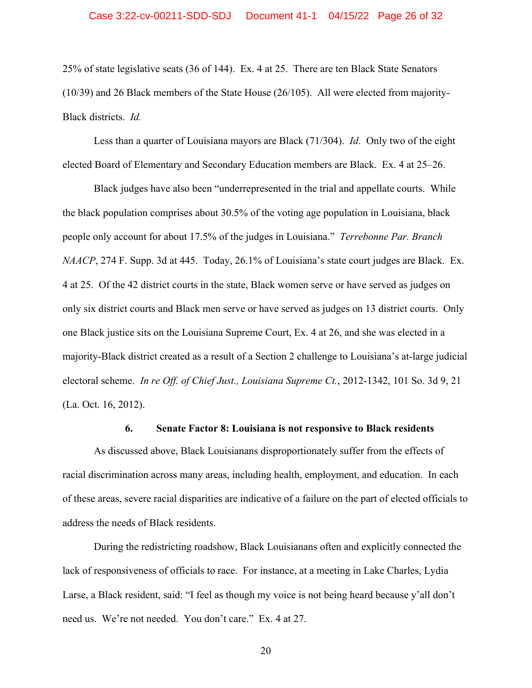25% of state legislative seats (36 of 144). Ex. 4 at 25. There are ten Black State Senators (10/39) and 26 Black members of the State House (26/105). All were elected from majority-Black districts. *Id.*

Less than a quarter of Louisiana mayors are Black (71/304). *Id*. Only two of the eight elected Board of Elementary and Secondary Education members are Black. Ex. 4 at 25–26.

Black judges have also been "underrepresented in the trial and appellate courts. While the black population comprises about 30.5% of the voting age population in Louisiana, black people only account for about 17.5% of the judges in Louisiana." *Terrebonne Par. Branch NAACP*, 274 F. Supp. 3d at 445. Today, 26.1% of Louisiana's state court judges are Black. Ex. 4 at 25. Of the 42 district courts in the state, Black women serve or have served as judges on only six district courts and Black men serve or have served as judges on 13 district courts. Only one Black justice sits on the Louisiana Supreme Court, Ex. 4 at 26, and she was elected in a majority-Black district created as a result of a Section 2 challenge to Louisiana's at-large judicial electoral scheme. *In re Off. of Chief Just., Louisiana Supreme Ct.*, 2012-1342, 101 So. 3d 9, 21 (La. Oct. 16, 2012).

#### **6. Senate Factor 8: Louisiana is not responsive to Black residents**

As discussed above, Black Louisianans disproportionately suffer from the effects of racial discrimination across many areas, including health, employment, and education. In each of these areas, severe racial disparities are indicative of a failure on the part of elected officials to address the needs of Black residents.

During the redistricting roadshow, Black Louisianans often and explicitly connected the lack of responsiveness of officials to race. For instance, at a meeting in Lake Charles, Lydia Larse, a Black resident, said: "I feel as though my voice is not being heard because y'all don't need us. We're not needed. You don't care." Ex. 4 at 27.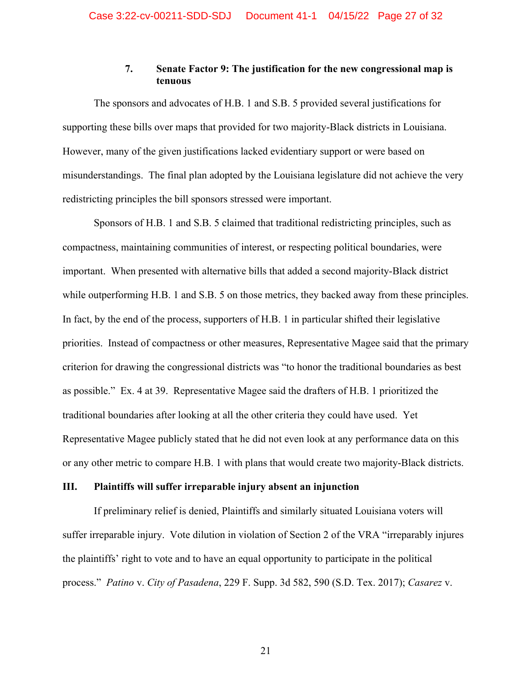### **7. Senate Factor 9: The justification for the new congressional map is tenuous**

The sponsors and advocates of H.B. 1 and S.B. 5 provided several justifications for supporting these bills over maps that provided for two majority-Black districts in Louisiana. However, many of the given justifications lacked evidentiary support or were based on misunderstandings. The final plan adopted by the Louisiana legislature did not achieve the very redistricting principles the bill sponsors stressed were important.

Sponsors of H.B. 1 and S.B. 5 claimed that traditional redistricting principles, such as compactness, maintaining communities of interest, or respecting political boundaries, were important. When presented with alternative bills that added a second majority-Black district while outperforming H.B. 1 and S.B. 5 on those metrics, they backed away from these principles. In fact, by the end of the process, supporters of H.B. 1 in particular shifted their legislative priorities. Instead of compactness or other measures, Representative Magee said that the primary criterion for drawing the congressional districts was "to honor the traditional boundaries as best as possible." Ex. 4 at 39. Representative Magee said the drafters of H.B. 1 prioritized the traditional boundaries after looking at all the other criteria they could have used. Yet Representative Magee publicly stated that he did not even look at any performance data on this or any other metric to compare H.B. 1 with plans that would create two majority-Black districts.

#### **III. Plaintiffs will suffer irreparable injury absent an injunction**

If preliminary relief is denied, Plaintiffs and similarly situated Louisiana voters will suffer irreparable injury. Vote dilution in violation of Section 2 of the VRA "irreparably injures the plaintiffs' right to vote and to have an equal opportunity to participate in the political process." *Patino* v. *City of Pasadena*, 229 F. Supp. 3d 582, 590 (S.D. Tex. 2017); *Casarez* v.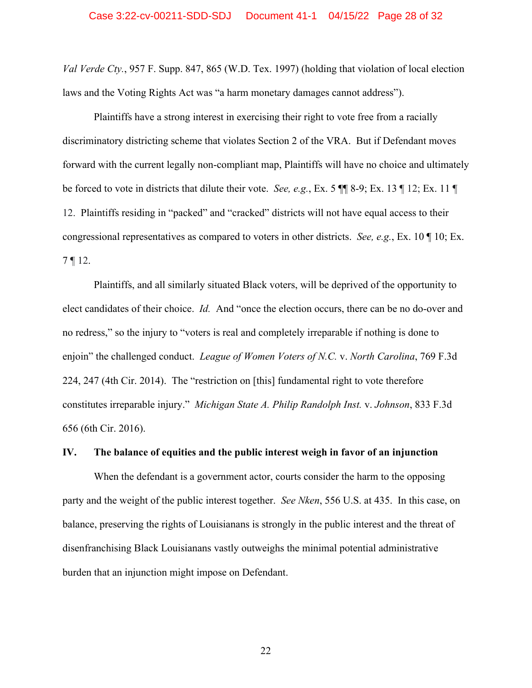#### Case 3:22-cv-00211-SDD-SDJ Document 41-1 04/15/22 Page 28 of 32

*Val Verde Cty.*, 957 F. Supp. 847, 865 (W.D. Tex. 1997) (holding that violation of local election laws and the Voting Rights Act was "a harm monetary damages cannot address").

Plaintiffs have a strong interest in exercising their right to vote free from a racially discriminatory districting scheme that violates Section 2 of the VRA. But if Defendant moves forward with the current legally non-compliant map, Plaintiffs will have no choice and ultimately be forced to vote in districts that dilute their vote. *See, e.g.*, Ex. 5 ¶¶ 8-9; Ex. 13 ¶ 12; Ex. 11 ¶ 12. Plaintiffs residing in "packed" and "cracked" districts will not have equal access to their congressional representatives as compared to voters in other districts. *See, e.g.*, Ex. 10 ¶ 10; Ex. 7 ¶ 12.

Plaintiffs, and all similarly situated Black voters, will be deprived of the opportunity to elect candidates of their choice. *Id.* And "once the election occurs, there can be no do-over and no redress," so the injury to "voters is real and completely irreparable if nothing is done to enjoin" the challenged conduct. *League of Women Voters of N.C.* v. *North Carolina*, 769 F.3d 224, 247 (4th Cir. 2014). The "restriction on [this] fundamental right to vote therefore constitutes irreparable injury." *Michigan State A. Philip Randolph Inst.* v. *Johnson*, 833 F.3d 656 (6th Cir. 2016).

#### **IV. The balance of equities and the public interest weigh in favor of an injunction**

When the defendant is a government actor, courts consider the harm to the opposing party and the weight of the public interest together. *See Nken*, 556 U.S. at 435. In this case, on balance, preserving the rights of Louisianans is strongly in the public interest and the threat of disenfranchising Black Louisianans vastly outweighs the minimal potential administrative burden that an injunction might impose on Defendant.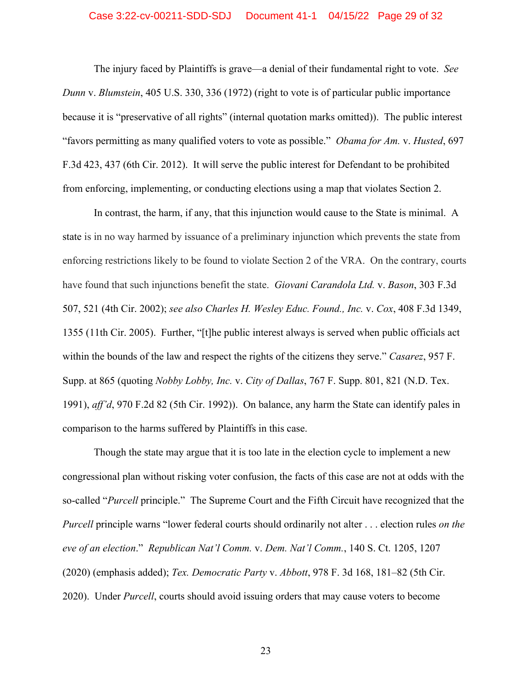#### Case 3:22-cv-00211-SDD-SDJ Document 41-1 04/15/22 Page 29 of 32

The injury faced by Plaintiffs is grave—a denial of their fundamental right to vote. *See Dunn* v. *Blumstein*, 405 U.S. 330, 336 (1972) (right to vote is of particular public importance because it is "preservative of all rights" (internal quotation marks omitted)). The public interest "favors permitting as many qualified voters to vote as possible." *Obama for Am.* v. *Husted*, 697 F.3d 423, 437 (6th Cir. 2012). It will serve the public interest for Defendant to be prohibited from enforcing, implementing, or conducting elections using a map that violates Section 2.

In contrast, the harm, if any, that this injunction would cause to the State is minimal. A state is in no way harmed by issuance of a preliminary injunction which prevents the state from enforcing restrictions likely to be found to violate Section 2 of the VRA. On the contrary, courts have found that such injunctions benefit the state. *Giovani Carandola Ltd.* v. *Bason*, 303 F.3d 507, 521 (4th Cir. 2002); *see also Charles H. Wesley Educ. Found., Inc.* v. *Cox*, 408 F.3d 1349, 1355 (11th Cir. 2005). Further, "[t]he public interest always is served when public officials act within the bounds of the law and respect the rights of the citizens they serve." *Casarez*, 957 F. Supp. at 865 (quoting *Nobby Lobby, Inc.* v. *City of Dallas*, 767 F. Supp. 801, 821 (N.D. Tex. 1991), *aff'd*, 970 F.2d 82 (5th Cir. 1992)). On balance, any harm the State can identify pales in comparison to the harms suffered by Plaintiffs in this case.

Though the state may argue that it is too late in the election cycle to implement a new congressional plan without risking voter confusion, the facts of this case are not at odds with the so-called "*Purcell* principle." The Supreme Court and the Fifth Circuit have recognized that the *Purcell* principle warns "lower federal courts should ordinarily not alter . . . election rules *on the eve of an election*." *Republican Nat'l Comm.* v. *Dem. Nat'l Comm.*, 140 S. Ct. 1205, 1207 (2020) (emphasis added); *Tex. Democratic Party* v. *Abbott*, 978 F. 3d 168, 181–82 (5th Cir. 2020). Under *Purcell*, courts should avoid issuing orders that may cause voters to become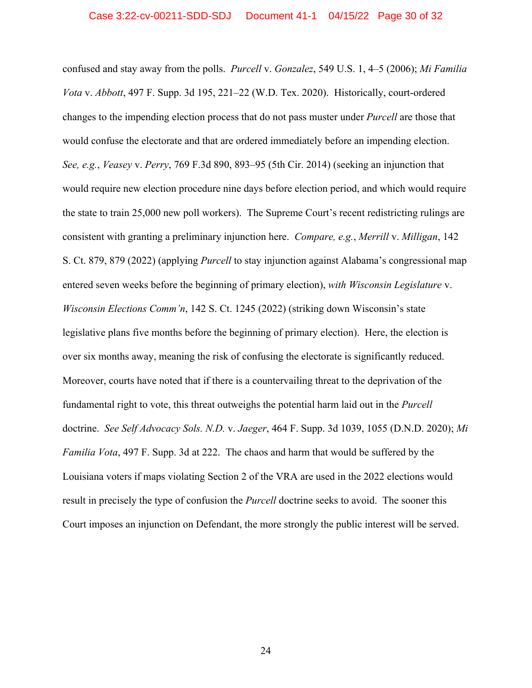confused and stay away from the polls. *Purcell* v. *Gonzalez*, 549 U.S. 1, 4–5 (2006); *Mi Familia Vota* v. *Abbott*, 497 F. Supp. 3d 195, 221–22 (W.D. Tex. 2020). Historically, court-ordered changes to the impending election process that do not pass muster under *Purcell* are those that would confuse the electorate and that are ordered immediately before an impending election. *See, e.g.*, *Veasey* v. *Perry*, 769 F.3d 890, 893–95 (5th Cir. 2014) (seeking an injunction that would require new election procedure nine days before election period, and which would require the state to train 25,000 new poll workers). The Supreme Court's recent redistricting rulings are consistent with granting a preliminary injunction here. *Compare, e.g.*, *Merrill* v. *Milligan*, 142 S. Ct. 879, 879 (2022) (applying *Purcell* to stay injunction against Alabama's congressional map entered seven weeks before the beginning of primary election), *with Wisconsin Legislature* v. *Wisconsin Elections Comm'n*, 142 S. Ct. 1245 (2022) (striking down Wisconsin's state legislative plans five months before the beginning of primary election). Here, the election is over six months away, meaning the risk of confusing the electorate is significantly reduced. Moreover, courts have noted that if there is a countervailing threat to the deprivation of the fundamental right to vote, this threat outweighs the potential harm laid out in the *Purcell* doctrine. *See Self Advocacy Sols. N.D.* v. *Jaeger*, 464 F. Supp. 3d 1039, 1055 (D.N.D. 2020); *Mi Familia Vota*, 497 F. Supp. 3d at 222. The chaos and harm that would be suffered by the Louisiana voters if maps violating Section 2 of the VRA are used in the 2022 elections would result in precisely the type of confusion the *Purcell* doctrine seeks to avoid. The sooner this Court imposes an injunction on Defendant, the more strongly the public interest will be served.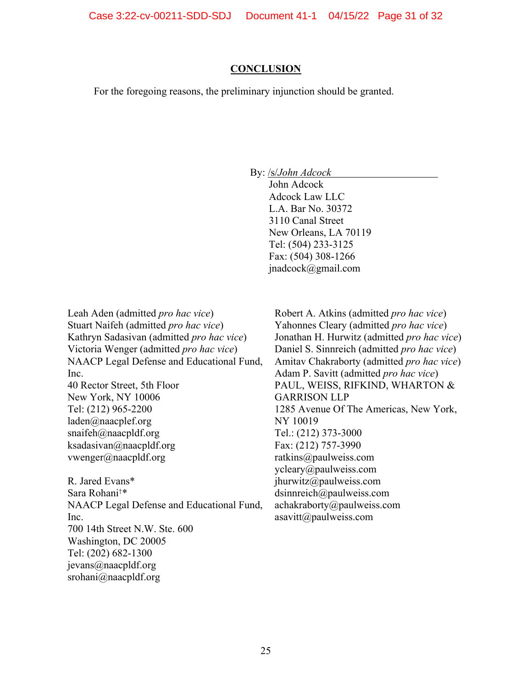Case 3:22-cv-00211-SDD-SDJ Document 41-1 04/15/22 Page 31 of 32

#### **CONCLUSION**

For the foregoing reasons, the preliminary injunction should be granted.

By: /s/*John Adcock*

John Adcock Adcock Law LLC L.A. Bar No. 30372 3110 Canal Street New Orleans, LA 70119 Tel: (504) 233-3125 Fax: (504) 308-1266 jnadcock@gmail.com

Leah Aden (admitted *pro hac vice*) Stuart Naifeh (admitted *pro hac vice*) Kathryn Sadasivan (admitted *pro hac vice*) Victoria Wenger (admitted *pro hac vice*) NAACP Legal Defense and Educational Fund, Inc.

40 Rector Street, 5th Floor New York, NY 10006 Tel: (212) 965-2200 laden@naacplef.org snaifeh@naacpldf.org ksadasivan@naacpldf.org vwenger@naacpldf.org

R. Jared Evans\* Sara Rohani†\* NAACP Legal Defense and Educational Fund, Inc. 700 14th Street N.W. Ste. 600 Washington, DC 20005 Tel: (202) 682-1300 jevans@naacpldf.org srohani@naacpldf.org

Robert A. Atkins (admitted *pro hac vice*) Yahonnes Cleary (admitted *pro hac vice*) Jonathan H. Hurwitz (admitted *pro hac vice*) Daniel S. Sinnreich (admitted *pro hac vice*) Amitav Chakraborty (admitted *pro hac vice*) Adam P. Savitt (admitted *pro hac vice*) PAUL, WEISS, RIFKIND, WHARTON & GARRISON LLP 1285 Avenue Of The Americas, New York, NY 10019 Tel.: (212) 373-3000 Fax: (212) 757-3990 ratkins@paulweiss.com ycleary@paulweiss.com jhurwitz@paulweiss.com dsinnreich@paulweiss.com achakraborty@paulweiss.com asavitt@paulweiss.com